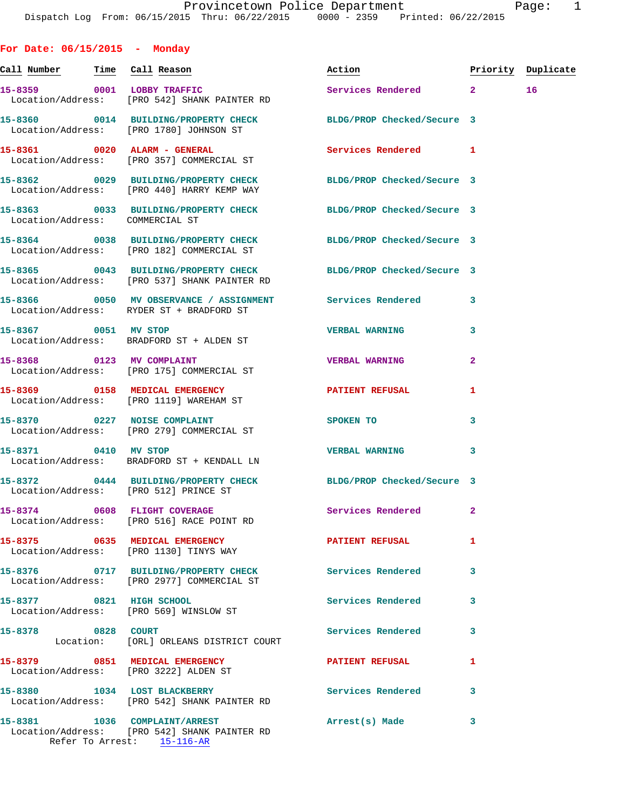**For Date: 06/15/2015 - Monday Call Number Time Call Reason Action Priority Duplicate 15-8359 0001 LOBBY TRAFFIC Services Rendered 2 16**  Location/Address: [PRO 542] SHANK PAINTER RD **15-8360 0014 BUILDING/PROPERTY CHECK BLDG/PROP Checked/Secure 3**  Location/Address: [PRO 1780] JOHNSON ST **15-8361 0020 ALARM - GENERAL Services Rendered 1**  Location/Address: [PRO 357] COMMERCIAL ST **15-8362 0029 BUILDING/PROPERTY CHECK BLDG/PROP Checked/Secure 3**  Location/Address: [PRO 440] HARRY KEMP WAY **15-8363 0033 BUILDING/PROPERTY CHECK BLDG/PROP Checked/Secure 3**  Location/Address: COMMERCIAL ST **15-8364 0038 BUILDING/PROPERTY CHECK BLDG/PROP Checked/Secure 3**  Location/Address: [PRO 182] COMMERCIAL ST **15-8365 0043 BUILDING/PROPERTY CHECK BLDG/PROP Checked/Secure 3**  Location/Address: [PRO 537] SHANK PAINTER RD **15-8366 0050 MV OBSERVANCE / ASSIGNMENT Services Rendered 3**  Location/Address: RYDER ST + BRADFORD ST **15-8367 0051 MV STOP VERBAL WARNING 3**  Location/Address: BRADFORD ST + ALDEN ST **15-8368 0123 MV COMPLAINT VERBAL WARNING 2**  Location/Address: [PRO 175] COMMERCIAL ST **15-8369 0158 MEDICAL EMERGENCY PATIENT REFUSAL 1**  Location/Address: [PRO 1119] WAREHAM ST **15-8370 0227 NOISE COMPLAINT SPOKEN TO 3**  Location/Address: [PRO 279] COMMERCIAL ST **15-8371 0410 MV STOP VERBAL WARNING 3**  Location/Address: BRADFORD ST + KENDALL LN **15-8372 0444 BUILDING/PROPERTY CHECK BLDG/PROP Checked/Secure 3**  Location/Address: [PRO 512] PRINCE ST **15-8374 0608 FLIGHT COVERAGE Services Rendered 2**  Location/Address: [PRO 516] RACE POINT RD **15-8375 0635 MEDICAL EMERGENCY PATIENT REFUSAL 1**  Location/Address: [PRO 1130] TINYS WAY **15-8376 0717 BUILDING/PROPERTY CHECK Services Rendered 3**  Location/Address: [PRO 2977] COMMERCIAL ST **15-8377 0821 HIGH SCHOOL Services Rendered 3**  Location/Address: [PRO 569] WINSLOW ST **15-8378 0828 COURT Services Rendered 3**  Location: [ORL] ORLEANS DISTRICT COURT **15-8379 0851 MEDICAL EMERGENCY PATIENT REFUSAL 1**  Location/Address: [PRO 3222] ALDEN ST 15-8380 1034 LOST BLACKBERRY **Services Rendered** 3 Location/Address: [PRO 542] SHANK PAINTER RD

**15-8381 1036 COMPLAINT/ARREST Arrest(s) Made 3**  Location/Address: [PRO 542] SHANK PAINTER RD Refer To Arrest: 15-116-AR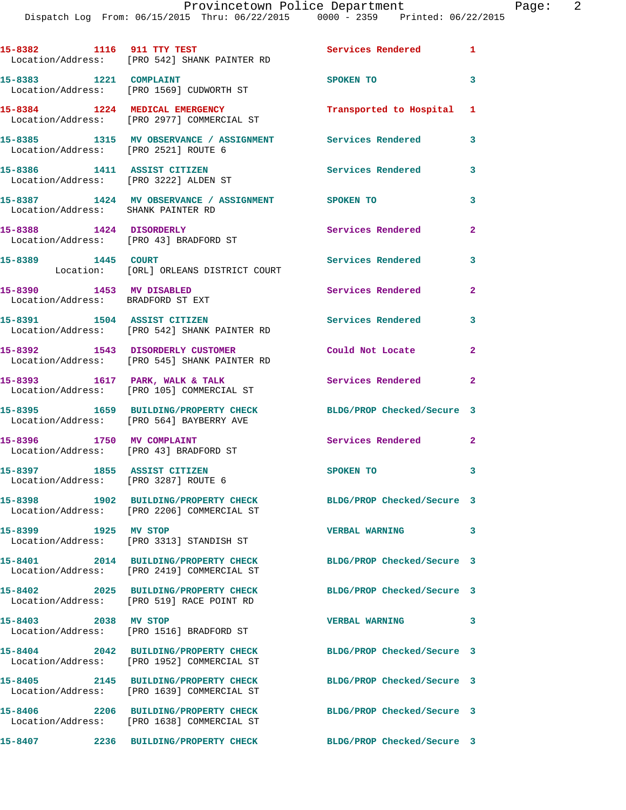Dispatch Log From: 06/15/2015 Thru: 06/22/2015 0000 - 2359 Printed: 06/22/2015

|                                                                      | 15-8382 1116 911 TTY TEST<br>Location/Address: [PRO 542] SHANK PAINTER RD                                     | Services Rendered 1        |                |
|----------------------------------------------------------------------|---------------------------------------------------------------------------------------------------------------|----------------------------|----------------|
| 15-8383 1221 COMPLAINT                                               | Location/Address: [PRO 1569] CUDWORTH ST                                                                      | SPOKEN TO                  | 3              |
|                                                                      | 15-8384 1224 MEDICAL EMERGENCY<br>Location/Address: [PRO 2977] COMMERCIAL ST                                  | Transported to Hospital 1  |                |
| Location/Address: [PRO 2521] ROUTE 6                                 | 15-8385 1315 MV OBSERVANCE / ASSIGNMENT                                                                       | Services Rendered          | 3              |
| 15-8386 1411 ASSIST CITIZEN<br>Location/Address: [PRO 3222] ALDEN ST |                                                                                                               | <b>Services Rendered</b>   | 3              |
| Location/Address: SHANK PAINTER RD                                   | 15-8387 1424 MV OBSERVANCE / ASSIGNMENT SPOKEN TO                                                             |                            | 3              |
| 15-8388 1424 DISORDERLY                                              | Location/Address: [PRO 43] BRADFORD ST                                                                        | <b>Services Rendered</b>   | $\mathbf{2}$   |
| 15-8389 1445 COURT                                                   | Location: [ORL] ORLEANS DISTRICT COURT                                                                        | Services Rendered          | 3              |
| 15-8390 1453 MV DISABLED<br>Location/Address: BRADFORD ST EXT        |                                                                                                               | Services Rendered          | $\mathbf{2}$   |
| 15-8391 1504 ASSIST CITIZEN                                          | Location/Address: [PRO 542] SHANK PAINTER RD                                                                  | <b>Services Rendered</b>   | 3              |
|                                                                      | 15-8392 1543 DISORDERLY CUSTOMER<br>Location/Address: [PRO 545] SHANK PAINTER RD                              | Could Not Locate           | $\overline{a}$ |
|                                                                      | 15-8393 1617 PARK, WALK & TALK<br>Location/Address: [PRO 105] COMMERCIAL ST                                   | Services Rendered          | $\overline{2}$ |
|                                                                      | 15-8395 1659 BUILDING/PROPERTY CHECK<br>Location/Address: [PRO 564] BAYBERRY AVE                              | BLDG/PROP Checked/Secure 3 |                |
| 15-8396 1750 MV COMPLAINT<br>Location/Address: [PRO 43] BRADFORD ST  |                                                                                                               | <b>Services Rendered</b>   | $\mathbf{2}$   |
| 15-8397 1855 ASSIST CITIZEN<br>Location/Address: [PRO 3287] ROUTE 6  |                                                                                                               | SPOKEN TO                  | 3              |
|                                                                      | 15-8398 1902 BUILDING/PROPERTY CHECK<br>Location/Address: [PRO 2206] COMMERCIAL ST                            | BLDG/PROP Checked/Secure 3 |                |
| 15-8399 1925 MV STOP                                                 | Location/Address: [PRO 3313] STANDISH ST                                                                      | <b>VERBAL WARNING</b>      | 3              |
|                                                                      | 15-8401 2014 BUILDING/PROPERTY CHECK BLDG/PROP Checked/Secure 3<br>Location/Address: [PRO 2419] COMMERCIAL ST |                            |                |
|                                                                      | 15-8402 2025 BUILDING/PROPERTY CHECK<br>Location/Address: [PRO 519] RACE POINT RD                             | BLDG/PROP Checked/Secure 3 |                |
| 15-8403 2038 MV STOP                                                 | Location/Address: [PRO 1516] BRADFORD ST                                                                      | <b>VERBAL WARNING</b>      | 3              |
|                                                                      | 15-8404 2042 BUILDING/PROPERTY CHECK<br>Location/Address: [PRO 1952] COMMERCIAL ST                            | BLDG/PROP Checked/Secure 3 |                |
|                                                                      | 15-8405 2145 BUILDING/PROPERTY CHECK<br>Location/Address: [PRO 1639] COMMERCIAL ST                            | BLDG/PROP Checked/Secure 3 |                |
|                                                                      | 15-8406 2206 BUILDING/PROPERTY CHECK<br>Location/Address: [PRO 1638] COMMERCIAL ST                            | BLDG/PROP Checked/Secure 3 |                |
|                                                                      | 15-8407 2236 BUILDING/PROPERTY CHECK                                                                          | BLDG/PROP Checked/Secure 3 |                |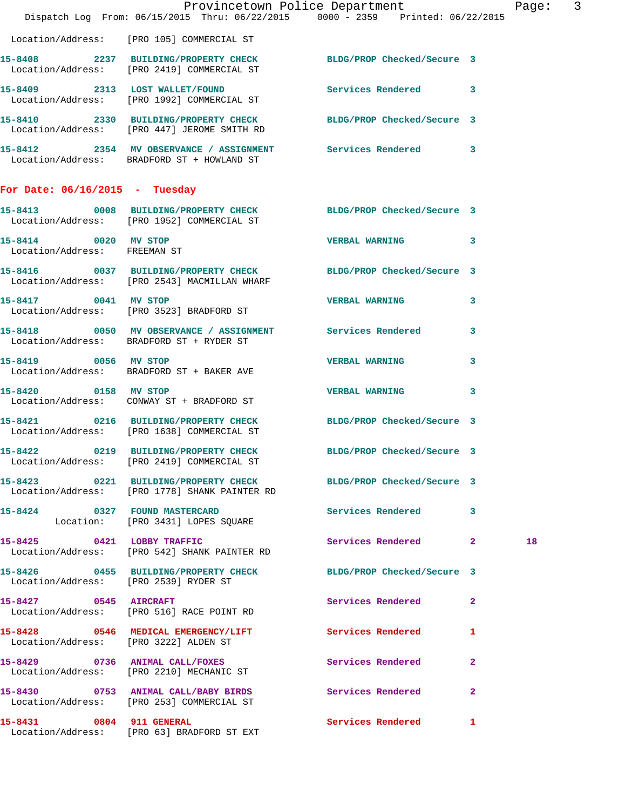|                                                      | Dispatch Log From: 06/15/2015 Thru: 06/22/2015 0000 - 2359 Printed: 06/22/2015                                   | Provincetown Police Department |              | Page: 3 |  |
|------------------------------------------------------|------------------------------------------------------------------------------------------------------------------|--------------------------------|--------------|---------|--|
|                                                      | Location/Address: [PRO 105] COMMERCIAL ST                                                                        |                                |              |         |  |
|                                                      | 15-8408 2237 BUILDING/PROPERTY CHECK<br>Location/Address: [PRO 2419] COMMERCIAL ST                               | BLDG/PROP Checked/Secure 3     |              |         |  |
|                                                      | 15-8409 2313 LOST WALLET/FOUND<br>Location/Address: [PRO 1992] COMMERCIAL ST                                     | Services Rendered 3            |              |         |  |
|                                                      | 15-8410 2330 BUILDING/PROPERTY CHECK BLDG/PROP Checked/Secure 3<br>Location/Address: [PRO 447] JEROME SMITH RD   |                                |              |         |  |
|                                                      | 15-8412 2354 MV OBSERVANCE / ASSIGNMENT Services Rendered 3<br>Location/Address: BRADFORD ST + HOWLAND ST        |                                |              |         |  |
| For Date: $06/16/2015$ - Tuesday                     |                                                                                                                  |                                |              |         |  |
|                                                      | 15-8413 0008 BUILDING/PROPERTY CHECK BLDG/PROP Checked/Secure 3<br>Location/Address: [PRO 1952] COMMERCIAL ST    |                                |              |         |  |
| 15-8414 0020 MV STOP<br>Location/Address: FREEMAN ST |                                                                                                                  | VERBAL WARNING 3               |              |         |  |
|                                                      | 15-8416 0037 BUILDING/PROPERTY CHECK BLDG/PROP Checked/Secure 3<br>Location/Address: [PRO 2543] MACMILLAN WHARF  |                                |              |         |  |
| 15-8417 0041 MV STOP                                 | Location/Address: [PRO 3523] BRADFORD ST                                                                         | <b>VERBAL WARNING</b>          | 3            |         |  |
|                                                      | 15-8418 0050 MV OBSERVANCE / ASSIGNMENT Services Rendered<br>Location/Address: BRADFORD ST + RYDER ST            |                                | 3            |         |  |
| 15-8419 0056 MV STOP                                 | Location/Address: BRADFORD ST + BAKER AVE                                                                        | <b>VERBAL WARNING</b>          | 3            |         |  |
|                                                      | 15-8420 0158 MV STOP<br>Location/Address: CONWAY ST + BRADFORD ST                                                | <b>VERBAL WARNING</b>          | 3            |         |  |
|                                                      | 15-8421 0216 BUILDING/PROPERTY CHECK BLDG/PROP Checked/Secure 3<br>Location/Address: [PRO 1638] COMMERCIAL ST    |                                |              |         |  |
|                                                      | 15-8422 0219 BUILDING/PROPERTY CHECK BLDG/PROP Checked/Secure 3<br>Location/Address: [PRO 2419] COMMERCIAL ST    |                                |              |         |  |
|                                                      | 15-8423 0221 BUILDING/PROPERTY CHECK BLDG/PROP Checked/Secure 3<br>Location/Address: [PRO 1778] SHANK PAINTER RD |                                |              |         |  |
|                                                      | 15-8424 0327 FOUND MASTERCARD<br>Location: [PRO 3431] LOPES SQUARE                                               | Services Rendered 3            |              |         |  |
|                                                      | 15-8425 0421 LOBBY TRAFFIC<br>Location/Address: [PRO 542] SHANK PAINTER RD                                       | Services Rendered 2            |              | 18      |  |
| Location/Address: [PRO 2539] RYDER ST                | 15-8426 0455 BUILDING/PROPERTY CHECK BLDG/PROP Checked/Secure 3                                                  |                                |              |         |  |
| 15-8427 0545 AIRCRAFT                                | Location/Address: [PRO 516] RACE POINT RD                                                                        | Services Rendered 2            |              |         |  |
| Location/Address: [PRO 3222] ALDEN ST                | 15-8428 0546 MEDICAL EMERGENCY/LIFT                                                                              | <b>Services Rendered</b>       | ı            |         |  |
|                                                      | 15-8429 0736 ANIMAL CALL/FOXES<br>Location/Address: [PRO 2210] MECHANIC ST                                       | Services Rendered              | $\mathbf{2}$ |         |  |
|                                                      | 15-8430 0753 ANIMAL CALL/BABY BIRDS Services Rendered<br>Location/Address: [PRO 253] COMMERCIAL ST               |                                | $\mathbf{2}$ |         |  |
| 15-8431 0804 911 GENERAL                             | Location/Address: [PRO 63] BRADFORD ST EXT                                                                       | Services Rendered 1            |              |         |  |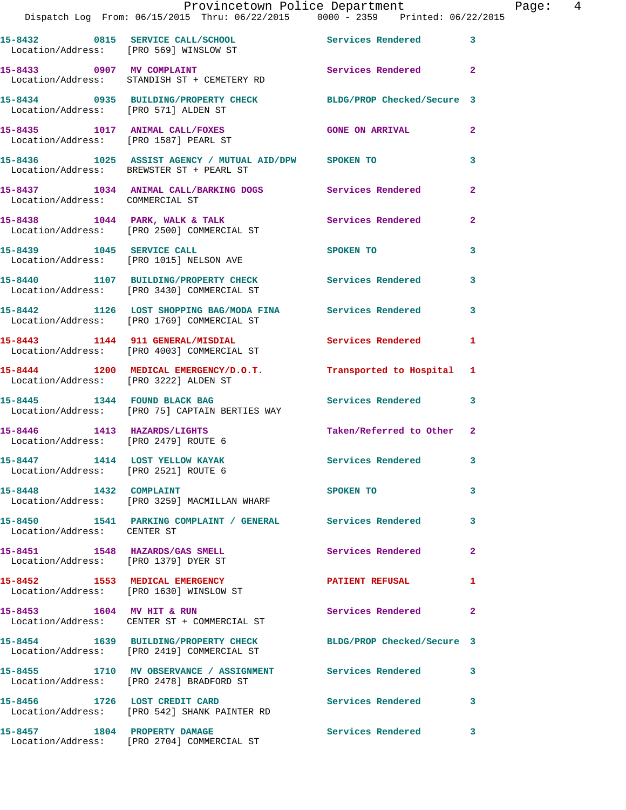|                                       | Provincetown Police Department Fage: 4<br>Dispatch Log From: 06/15/2015 Thru: 06/22/2015   0000 - 2359   Printed: 06/22/2015 |                          |                |  |
|---------------------------------------|------------------------------------------------------------------------------------------------------------------------------|--------------------------|----------------|--|
|                                       | 15-8432 0815 SERVICE CALL/SCHOOL 5ervices Rendered 3<br>Location/Address: [PRO 569] WINSLOW ST                               |                          |                |  |
|                                       | 15-8433 0907 MV COMPLAINT<br>Location/Address: STANDISH ST + CEMETERY RD                                                     | Services Rendered 2      |                |  |
|                                       | 15-8434 0935 BUILDING/PROPERTY CHECK BLDG/PROP Checked/Secure 3<br>Location/Address: [PRO 571] ALDEN ST                      |                          |                |  |
|                                       | 15-8435 1017 ANIMAL CALL/FOXES GONE ON ARRIVAL<br>Location/Address: [PRO 1587] PEARL ST                                      |                          | $\mathbf{2}$   |  |
|                                       | 15-8436 1025 ASSIST AGENCY / MUTUAL AID/DPW SPOKEN TO<br>Location/Address: BREWSTER ST + PEARL ST                            |                          | 3              |  |
| Location/Address: COMMERCIAL ST       | 15-8437 1034 ANIMAL CALL/BARKING DOGS Services Rendered                                                                      |                          | $\overline{2}$ |  |
|                                       | 15-8438 1044 PARK, WALK & TALK 1999 Services Rendered<br>Location/Address: [PRO 2500] COMMERCIAL ST                          |                          | $\overline{2}$ |  |
|                                       | 15-8439 1045 SERVICE CALL<br>Location/Address: [PRO 1015] NELSON AVE                                                         | <b>SPOKEN TO</b>         | 3              |  |
|                                       | 15-8440 1107 BUILDING/PROPERTY CHECK Services Rendered 3<br>Location/Address: [PRO 3430] COMMERCIAL ST                       |                          |                |  |
|                                       | 15-8442 1126 LOST SHOPPING BAG/MODA FINA Services Rendered<br>Location/Address: [PRO 1769] COMMERCIAL ST                     |                          | 3              |  |
|                                       | 15-8443 1144 911 GENERAL/MISDIAL Services Rendered 1<br>Location/Address: [PRO 4003] COMMERCIAL ST                           |                          |                |  |
| Location/Address: [PRO 3222] ALDEN ST | 15-8444 1200 MEDICAL EMERGENCY/D.O.T. Transported to Hospital 1                                                              |                          |                |  |
|                                       | 15-8445 1344 FOUND BLACK BAG 15-8445<br>Location/Address: [PRO 75] CAPTAIN BERTIES WAY                                       |                          |                |  |
| Location/Address: [PRO 2479] ROUTE 6  | 15-8446 1413 HAZARDS/LIGHTS Taken/Referred to Other 2                                                                        |                          |                |  |
| Location/Address: [PRO 2521] ROUTE 6  | 15-8447 1414 LOST YELLOW KAYAK                                                                                               | <b>Services Rendered</b> |                |  |
|                                       | 15-8448 1432 COMPLAINT<br>Location/Address: [PRO 3259] MACMILLAN WHARF                                                       | SPOKEN TO                | 3              |  |
| Location/Address: CENTER ST           | 15-8450 1541 PARKING COMPLAINT / GENERAL Services Rendered                                                                   |                          | $\mathbf{3}$   |  |
| Location/Address: [PRO 1379] DYER ST  | 15-8451 1548 HAZARDS/GAS SMELL                                                                                               | Services Rendered        | $\overline{2}$ |  |
|                                       | 15-8452 1553 MEDICAL EMERGENCY<br>Location/Address: [PRO 1630] WINSLOW ST                                                    | PATIENT REFUSAL 1        |                |  |
|                                       | 15-8453 1604 MV HIT & RUN<br>Location/Address: CENTER ST + COMMERCIAL ST                                                     | Services Rendered        | $\mathbf{2}$   |  |
|                                       | 15-8454 1639 BUILDING/PROPERTY CHECK BLDG/PROP Checked/Secure 3<br>Location/Address: [PRO 2419] COMMERCIAL ST                |                          |                |  |
|                                       | 15-8455 1710 MV OBSERVANCE / ASSIGNMENT Services Rendered<br>Location/Address: [PRO 2478] BRADFORD ST                        |                          | 3              |  |
|                                       | 15-8456 1726 LOST CREDIT CARD<br>Location/Address: [PRO 542] SHANK PAINTER RD                                                | Services Rendered        | 3              |  |
|                                       | 15-8457 1804 PROPERTY DAMAGE<br>Location/Address: [PRO 2704] COMMERCIAL ST                                                   | Services Rendered        | $\mathbf{3}$   |  |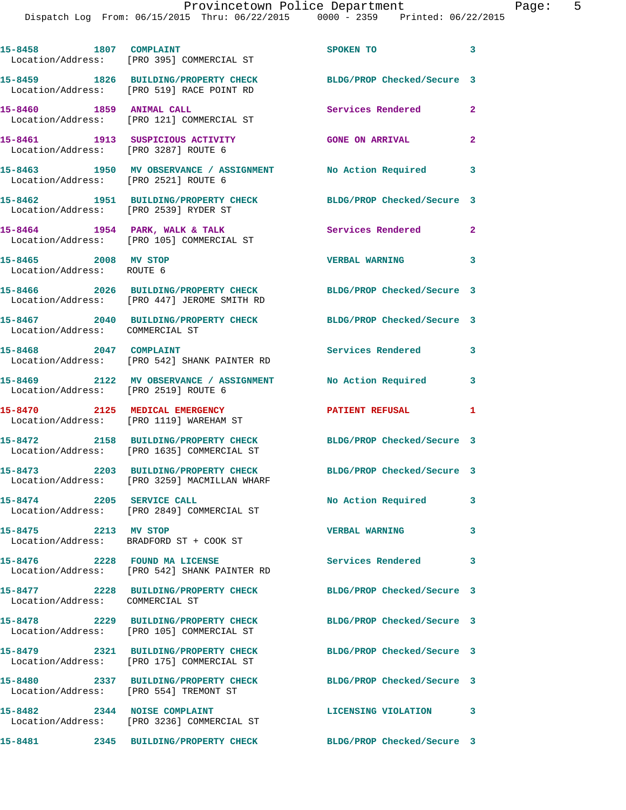| 15-8458 1807 COMPLAINT                            | Location/Address: [PRO 395] COMMERCIAL ST                                                                       | SPOKEN TO                  | $\mathbf{3}$               |
|---------------------------------------------------|-----------------------------------------------------------------------------------------------------------------|----------------------------|----------------------------|
|                                                   | 15-8459 1826 BUILDING/PROPERTY CHECK<br>Location/Address: [PRO 519] RACE POINT RD                               | BLDG/PROP Checked/Secure 3 |                            |
| 15-8460 1859 ANIMAL CALL                          | Location/Address: [PRO 121] COMMERCIAL ST                                                                       | Services Rendered          | $\overline{2}$             |
| Location/Address: [PRO 3287] ROUTE 6              | 15-8461 1913 SUSPICIOUS ACTIVITY                                                                                | <b>GONE ON ARRIVAL</b>     | $\mathbf{2}$               |
| Location/Address: [PRO 2521] ROUTE 6              | 15-8463 1950 MV OBSERVANCE / ASSIGNMENT No Action Required 3                                                    |                            |                            |
| Location/Address: [PRO 2539] RYDER ST             | 15-8462 1951 BUILDING/PROPERTY CHECK                                                                            | BLDG/PROP Checked/Secure 3 |                            |
|                                                   | 15-8464 1954 PARK, WALK & TALK<br>Location/Address: [PRO 105] COMMERCIAL ST                                     | Services Rendered 2        |                            |
| 15-8465 2008 MV STOP<br>Location/Address: ROUTE 6 |                                                                                                                 | <b>VERBAL WARNING</b>      | 3                          |
|                                                   | 15-8466 2026 BUILDING/PROPERTY CHECK<br>Location/Address: [PRO 447] JEROME SMITH RD                             | BLDG/PROP Checked/Secure 3 |                            |
| Location/Address: COMMERCIAL ST                   | 15-8467 2040 BUILDING/PROPERTY CHECK                                                                            | BLDG/PROP Checked/Secure 3 |                            |
| 15-8468 2047 COMPLAINT                            | Location/Address: [PRO 542] SHANK PAINTER RD                                                                    | Services Rendered          | $\overline{\mathbf{3}}$    |
| Location/Address: [PRO 2519] ROUTE 6              | 15-8469 2122 MV OBSERVANCE / ASSIGNMENT No Action Required                                                      |                            | $\overline{\phantom{a}}$ 3 |
|                                                   | 15-8470 2125 MEDICAL EMERGENCY<br>Location/Address: [PRO 1119] WAREHAM ST                                       | <b>PATIENT REFUSAL</b>     | 1                          |
|                                                   | 15-8472 2158 BUILDING/PROPERTY CHECK<br>Location/Address: [PRO 1635] COMMERCIAL ST                              | BLDG/PROP Checked/Secure 3 |                            |
|                                                   | 15-8473 2203 BUILDING/PROPERTY CHECK BLDG/PROP Checked/Secure 3<br>Location/Address: [PRO 3259] MACMILLAN WHARF |                            |                            |
| 15-8474 2205 SERVICE CALL                         | Location/Address: [PRO 2849] COMMERCIAL ST                                                                      | No Action Required 3       |                            |
| 15-8475 2213 MV STOP                              | Location/Address: BRADFORD ST + COOK ST                                                                         | VERBAL WARNING 3           |                            |
|                                                   | 15-8476 2228 FOUND MA LICENSE<br>Location/Address: [PRO 542] SHANK PAINTER RD                                   | Services Rendered          | $\mathbf{3}$               |
| Location/Address: COMMERCIAL ST                   | 15-8477 2228 BUILDING/PROPERTY CHECK BLDG/PROP Checked/Secure 3                                                 |                            |                            |
|                                                   | 15-8478 2229 BUILDING/PROPERTY CHECK<br>Location/Address: [PRO 105] COMMERCIAL ST                               | BLDG/PROP Checked/Secure 3 |                            |
|                                                   | 15-8479 2321 BUILDING/PROPERTY CHECK<br>Location/Address: [PRO 175] COMMERCIAL ST                               | BLDG/PROP Checked/Secure 3 |                            |
| Location/Address: [PRO 554] TREMONT ST            | 15-8480 2337 BUILDING/PROPERTY CHECK                                                                            | BLDG/PROP Checked/Secure 3 |                            |
|                                                   | 15-8482 2344 NOISE COMPLAINT<br>Location/Address: [PRO 3236] COMMERCIAL ST                                      | <b>LICENSING VIOLATION</b> | $\sim$ 3                   |
|                                                   | 15-8481 2345 BUILDING/PROPERTY CHECK                                                                            | BLDG/PROP Checked/Secure 3 |                            |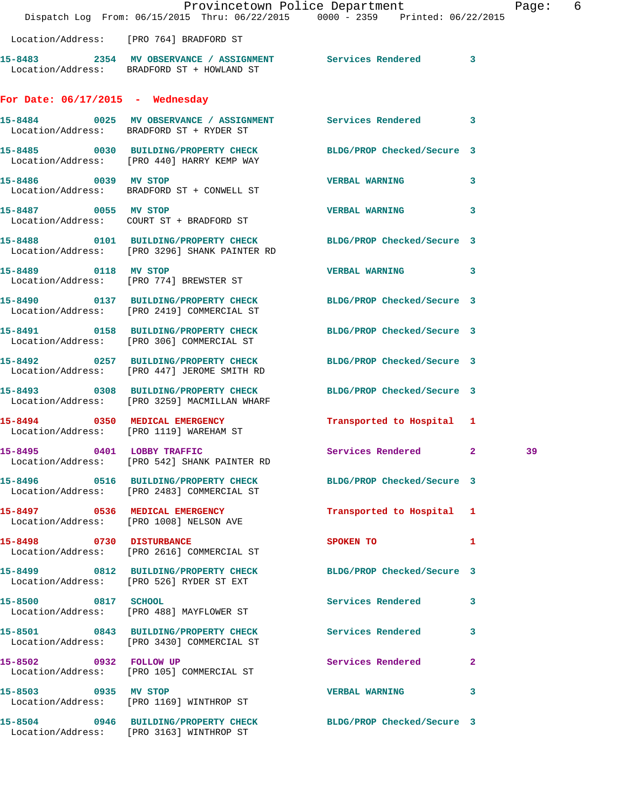|                                    | Dispatch Log From: 06/15/2015 Thru: 06/22/2015 0000 - 2359 Printed: 06/22/2015                                   | Provincetown Police Department |   | Page: 6 |  |
|------------------------------------|------------------------------------------------------------------------------------------------------------------|--------------------------------|---|---------|--|
|                                    | Location/Address: [PRO 764] BRADFORD ST                                                                          |                                |   |         |  |
|                                    | 15-8483 2354 MV OBSERVANCE / ASSIGNMENT Services Rendered 3<br>Location/Address: BRADFORD ST + HOWLAND ST        |                                |   |         |  |
| For Date: $06/17/2015$ - Wednesday |                                                                                                                  |                                |   |         |  |
|                                    | 15-8484 0025 MV OBSERVANCE / ASSIGNMENT Services Rendered 3<br>Location/Address: BRADFORD ST + RYDER ST          |                                |   |         |  |
|                                    | 15-8485 0030 BUILDING/PROPERTY CHECK BLDG/PROP Checked/Secure 3<br>Location/Address: [PRO 440] HARRY KEMP WAY    |                                |   |         |  |
| 15-8486 0039 MV STOP               | Location/Address: BRADFORD ST + CONWELL ST                                                                       | VERBAL WARNING 3               |   |         |  |
| 15-8487 0055 MV STOP               | Location/Address: COURT ST + BRADFORD ST                                                                         | VERBAL WARNING 3               |   |         |  |
|                                    | 15-8488 0101 BUILDING/PROPERTY CHECK BLDG/PROP Checked/Secure 3<br>Location/Address: [PRO 3296] SHANK PAINTER RD |                                |   |         |  |
|                                    | 15-8489 0118 MV STOP<br>Location/Address: [PRO 774] BREWSTER ST                                                  | VERBAL WARNING 3               |   |         |  |
|                                    | 15-8490 0137 BUILDING/PROPERTY CHECK BLDG/PROP Checked/Secure 3<br>Location/Address: [PRO 2419] COMMERCIAL ST    |                                |   |         |  |
|                                    | 15-8491 0158 BUILDING/PROPERTY CHECK BLDG/PROP Checked/Secure 3<br>Location/Address: [PRO 306] COMMERCIAL ST     |                                |   |         |  |
|                                    | 15-8492 0257 BUILDING/PROPERTY CHECK<br>Location/Address: [PRO 447] JEROME SMITH RD                              | BLDG/PROP Checked/Secure 3     |   |         |  |
|                                    | 15-8493 0308 BUILDING/PROPERTY CHECK<br>Location/Address: [PRO 3259] MACMILLAN WHARF                             | BLDG/PROP Checked/Secure 3     |   |         |  |
|                                    | 15-8494 0350 MEDICAL EMERGENCY<br>Location/Address: [PRO 1119] WAREHAM ST                                        | Transported to Hospital 1      |   |         |  |
| 15-8495 0401 LOBBY TRAFFIC         | Location/Address: [PRO 542] SHANK PAINTER RD                                                                     | Services Rendered 2            |   | 39      |  |
|                                    | 15-8496 0516 BUILDING/PROPERTY CHECK BLDG/PROP Checked/Secure 3<br>Location/Address: [PRO 2483] COMMERCIAL ST    |                                |   |         |  |
|                                    | 15-8497 0536 MEDICAL EMERGENCY<br>Location/Address: [PRO 1008] NELSON AVE                                        | Transported to Hospital 1      |   |         |  |
| 15-8498 0730 DISTURBANCE           | Location/Address: [PRO 2616] COMMERCIAL ST                                                                       | SPOKEN TO 1                    |   |         |  |
|                                    | 15-8499 0812 BUILDING/PROPERTY CHECK BLDG/PROP Checked/Secure 3<br>Location/Address: [PRO 526] RYDER ST EXT      |                                |   |         |  |
| 15-8500 0817 SCHOOL                | Location/Address: [PRO 488] MAYFLOWER ST                                                                         | Services Rendered 3            |   |         |  |
|                                    | 15-8501 0843 BUILDING/PROPERTY CHECK<br>Location/Address: [PRO 3430] COMMERCIAL ST                               | Services Rendered 3            |   |         |  |
| 15-8502 0932 FOLLOW UP             | Location/Address: [PRO 105] COMMERCIAL ST                                                                        | Services Rendered              | 2 |         |  |
| 15-8503 0935 MV STOP               | Location/Address: [PRO 1169] WINTHROP ST                                                                         | VERBAL WARNING 3               |   |         |  |
|                                    | 15-8504 0946 BUILDING/PROPERTY CHECK<br>Location/Address: [PRO 3163] WINTHROP ST                                 | BLDG/PROP Checked/Secure 3     |   |         |  |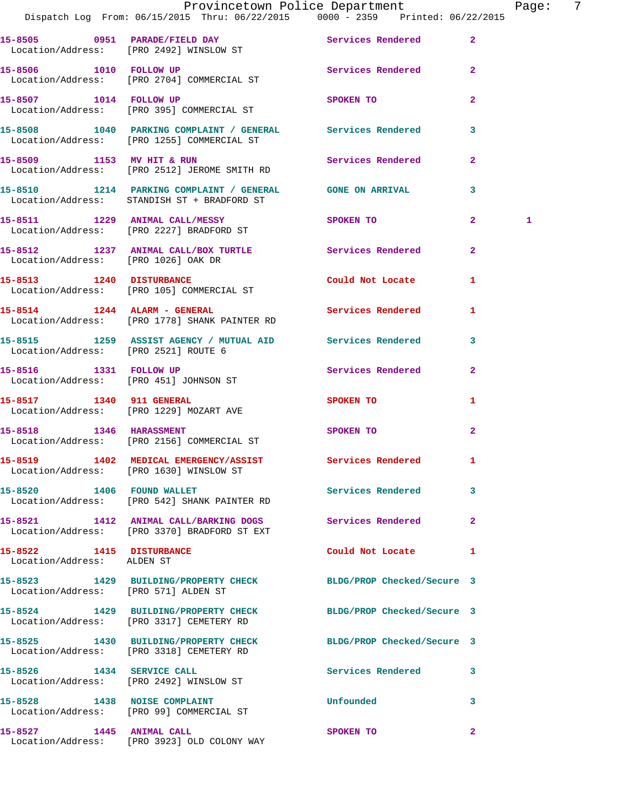|                                                        | Provincetown Police Department                                                                              |                                                                                                                                                                                                                                |                | Page:        | - 7 |
|--------------------------------------------------------|-------------------------------------------------------------------------------------------------------------|--------------------------------------------------------------------------------------------------------------------------------------------------------------------------------------------------------------------------------|----------------|--------------|-----|
|                                                        | 15-8505 0951 PARADE/FIELD DAY Services Rendered 2<br>Location/Address: [PRO 2492] WINSLOW ST                |                                                                                                                                                                                                                                |                |              |     |
|                                                        | 15-8506 1010 FOLLOW UP Services Rendered 2<br>Location/Address: [PRO 2704] COMMERCIAL ST                    |                                                                                                                                                                                                                                |                |              |     |
|                                                        | 15-8507 1014 FOLLOW UP<br>Location/Address: [PRO 395] COMMERCIAL ST                                         | SPOKEN TO                                                                                                                                                                                                                      | $\mathbf{2}$   |              |     |
|                                                        | 15-8508 1040 PARKING COMPLAINT / GENERAL Services Rendered 3<br>Location/Address: [PRO 1255] COMMERCIAL ST  |                                                                                                                                                                                                                                |                |              |     |
|                                                        | 15-8509 1153 MV HIT & RUN<br>Location/Address: [PRO 2512] JEROME SMITH RD                                   | Services Rendered 2                                                                                                                                                                                                            |                |              |     |
|                                                        | 15-8510 1214 PARKING COMPLAINT / GENERAL GONE ON ARRIVAL<br>Location/Address: STANDISH ST + BRADFORD ST     |                                                                                                                                                                                                                                | $\mathbf{3}$   |              |     |
|                                                        | 15-8511 1229 ANIMAL CALL/MESSY SPOKEN TO 2<br>Location/Address: [PRO 2227] BRADFORD ST                      |                                                                                                                                                                                                                                |                | $\mathbf{1}$ |     |
| Location/Address: [PRO 1026] OAK DR                    | 15-8512 1237 ANIMAL CALL/BOX TURTLE Services Rendered                                                       |                                                                                                                                                                                                                                | $\overline{2}$ |              |     |
|                                                        | 15-8513 1240 DISTURBANCE<br>Location/Address: [PRO 105] COMMERCIAL ST                                       | Could Not Locate 1                                                                                                                                                                                                             |                |              |     |
|                                                        | 15-8514 1244 ALARM - GENERAL Services Rendered 1<br>Location/Address: [PRO 1778] SHANK PAINTER RD           |                                                                                                                                                                                                                                |                |              |     |
| Location/Address: [PRO 2521] ROUTE 6                   | 15-8515 1259 ASSIST AGENCY / MUTUAL AID Services Rendered 3                                                 |                                                                                                                                                                                                                                |                |              |     |
|                                                        | 15-8516 1331 FOLLOW UP<br>Location/Address: [PRO 451] JOHNSON ST                                            | Services Rendered 2                                                                                                                                                                                                            |                |              |     |
|                                                        | 15-8517 1340 911 GENERAL<br>Location/Address: [PRO 1229] MOZART AVE                                         | SPOKEN TO AND TO A RESIDENCE A RESIDENCE OF A RESIDENCE OF A RESIDENCE OF A RESIDENCE OF A REPORT OF A REPORT OF A REPORT OF A REPORT OF A REPORT OF A REPORT OF A REPORT OF A REPORT OF A REPORT OF A REPORT OF A REPORT OF A | 1              |              |     |
|                                                        | 15-8518 1346 HARASSMENT<br>Location/Address: [PRO 2156] COMMERCIAL ST                                       | SPOKEN TO                                                                                                                                                                                                                      | $\mathbf{2}$   |              |     |
|                                                        | 15-8519 1402 MEDICAL EMERGENCY/ASSIST Services Rendered 1<br>Location/Address: [PRO 1630] WINSLOW ST        |                                                                                                                                                                                                                                |                |              |     |
|                                                        | 15-8520 1406 FOUND WALLET<br>Location/Address: [PRO 542] SHANK PAINTER RD                                   | Services Rendered 3                                                                                                                                                                                                            |                |              |     |
|                                                        | 15-8521 1412 ANIMAL CALL/BARKING DOGS Services Rendered 2<br>Location/Address: [PRO 3370] BRADFORD ST EXT   |                                                                                                                                                                                                                                |                |              |     |
| 15-8522 1415 DISTURBANCE<br>Location/Address: ALDEN ST |                                                                                                             | Could Not Locate 1                                                                                                                                                                                                             |                |              |     |
| Location/Address: [PRO 571] ALDEN ST                   | 15-8523 1429 BUILDING/PROPERTY CHECK BLDG/PROP Checked/Secure 3                                             |                                                                                                                                                                                                                                |                |              |     |
|                                                        | 15-8524 1429 BUILDING/PROPERTY CHECK BLDG/PROP Checked/Secure 3<br>Location/Address: [PRO 3317] CEMETERY RD |                                                                                                                                                                                                                                |                |              |     |
|                                                        | 15-8525 1430 BUILDING/PROPERTY CHECK BLDG/PROP Checked/Secure 3<br>Location/Address: [PRO 3318] CEMETERY RD |                                                                                                                                                                                                                                |                |              |     |
|                                                        | 15-8526 1434 SERVICE CALL<br>Location/Address: [PRO 2492] WINSLOW ST                                        | Services Rendered 3                                                                                                                                                                                                            |                |              |     |
|                                                        | 15-8528 1438 NOISE COMPLAINT<br>Location/Address: [PRO 99] COMMERCIAL ST                                    | Unfounded                                                                                                                                                                                                                      | 3              |              |     |
| 15-8527 1445 ANIMAL CALL                               |                                                                                                             | SPOKEN TO                                                                                                                                                                                                                      | $\mathbf{2}$   |              |     |

Location/Address: [PRO 3923] OLD COLONY WAY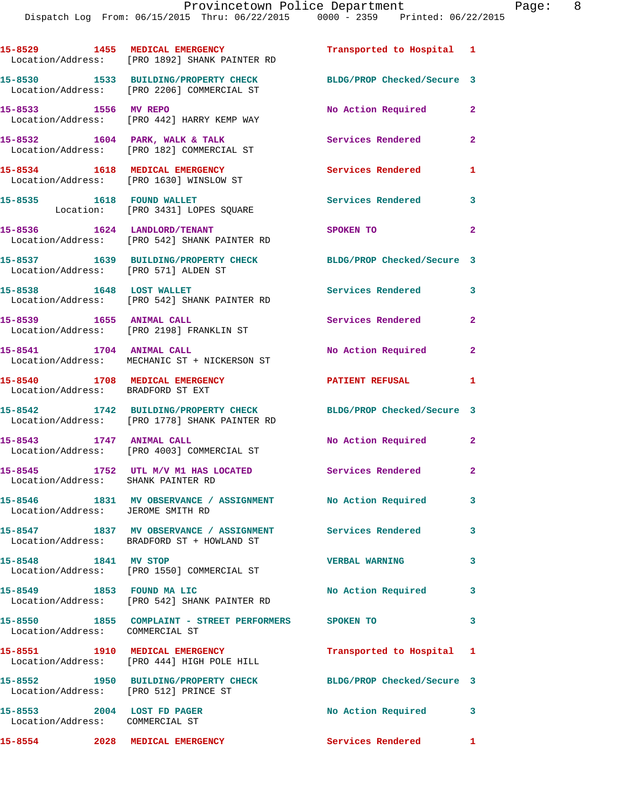Dispatch Log From: 06/15/2015 Thru: 06/22/2015 0000 - 2359 Printed: 06/22/2015

**15-8529 1455 MEDICAL EMERGENCY Transported to Hospital 1**  Location/Address: [PRO 1892] SHANK PAINTER RD **15-8530 1533 BUILDING/PROPERTY CHECK BLDG/PROP Checked/Secure 3**  Location/Address: [PRO 2206] COMMERCIAL ST **15-8533 1556 MV REPO No Action Required 2**  Location/Address: [PRO 442] HARRY KEMP WAY 15-8532 1604 PARK, WALK & TALK **Services Rendered** 2 Location/Address: [PRO 182] COMMERCIAL ST **15-8534 1618 MEDICAL EMERGENCY Services Rendered 1**  Location/Address: [PRO 1630] WINSLOW ST 15-8535 1618 FOUND WALLET **15-8535** Services Rendered 3 Location: [PRO 3431] LOPES SQUARE **15-8536 1624 LANDLORD/TENANT SPOKEN TO 2**  Location/Address: [PRO 542] SHANK PAINTER RD **15-8537 1639 BUILDING/PROPERTY CHECK BLDG/PROP Checked/Secure 3**  Location/Address: [PRO 571] ALDEN ST **15-8538 1648 LOST WALLET Services Rendered 3**  Location/Address: [PRO 542] SHANK PAINTER RD **15-8539 1655 ANIMAL CALL Services Rendered 2**  Location/Address: [PRO 2198] FRANKLIN ST **15-8541 1704 ANIMAL CALL No Action Required 2**  Location/Address: MECHANIC ST + NICKERSON ST **15-8540 1708 MEDICAL EMERGENCY PATIENT REFUSAL 1**  Location/Address: BRADFORD ST EXT **15-8542 1742 BUILDING/PROPERTY CHECK BLDG/PROP Checked/Secure 3**  Location/Address: [PRO 1778] SHANK PAINTER RD **15-8543 1747 ANIMAL CALL No Action Required 2**  Location/Address: [PRO 4003] COMMERCIAL ST **15-8545 1752 UTL M/V M1 HAS LOCATED Services Rendered 2**  Location/Address: SHANK PAINTER RD **15-8546 1831 MV OBSERVANCE / ASSIGNMENT No Action Required 3**  Location/Address: JEROME SMITH RD **15-8547 1837 MV OBSERVANCE / ASSIGNMENT Services Rendered 3**  Location/Address: BRADFORD ST + HOWLAND ST **15-8548 1841 MV STOP VERBAL WARNING 3**  Location/Address: [PRO 1550] COMMERCIAL ST **15-8549 1853 FOUND MA LIC No Action Required 3**  Location/Address: [PRO 542] SHANK PAINTER RD **15-8550 1855 COMPLAINT - STREET PERFORMERS SPOKEN TO 3**  Location/Address: COMMERCIAL ST **15-8551 1910 MEDICAL EMERGENCY Transported to Hospital 1**  Location/Address: [PRO 444] HIGH POLE HILL **15-8552 1950 BUILDING/PROPERTY CHECK BLDG/PROP Checked/Secure 3**  Location/Address: [PRO 512] PRINCE ST 15-8553 2004 LOST FD PAGER No No Action Required 3 Location/Address: COMMERCIAL ST **15-8554 2028 MEDICAL EMERGENCY Services Rendered 1**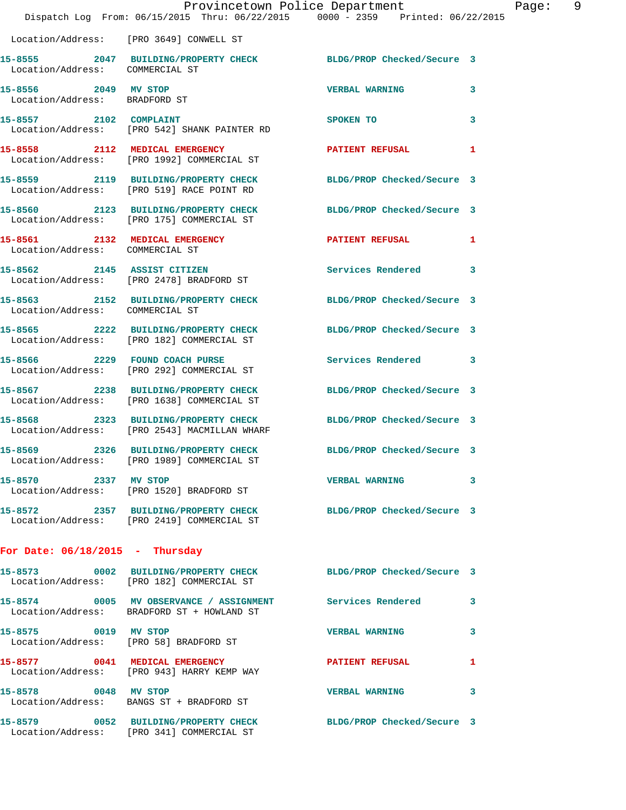|                                                       | Provincetown Police Department<br>Dispatch Log From: 06/15/2015 Thru: 06/22/2015 0000 - 2359 Printed: 06/22/2015 |                            | 9<br>Page: |
|-------------------------------------------------------|------------------------------------------------------------------------------------------------------------------|----------------------------|------------|
|                                                       | Location/Address: [PRO 3649] CONWELL ST                                                                          |                            |            |
| Location/Address: COMMERCIAL ST                       | 15-8555 2047 BUILDING/PROPERTY CHECK BLDG/PROP Checked/Secure 3                                                  |                            |            |
| 15-8556 2049 MV STOP<br>Location/Address: BRADFORD ST |                                                                                                                  | <b>VERBAL WARNING</b>      | 3          |
| 15-8557 2102 COMPLAINT                                | Location/Address: [PRO 542] SHANK PAINTER RD                                                                     | SPOKEN TO                  | 3          |
|                                                       | 15-8558 2112 MEDICAL EMERGENCY<br>Location/Address: [PRO 1992] COMMERCIAL ST                                     | <b>PATIENT REFUSAL</b>     | 1          |
|                                                       | 15-8559 2119 BUILDING/PROPERTY CHECK<br>Location/Address: [PRO 519] RACE POINT RD                                | BLDG/PROP Checked/Secure 3 |            |
|                                                       | 15-8560 2123 BUILDING/PROPERTY CHECK BLDG/PROP Checked/Secure 3<br>Location/Address: [PRO 175] COMMERCIAL ST     |                            |            |
| Location/Address: COMMERCIAL ST                       | 15-8561 2132 MEDICAL EMERGENCY PATIENT REFUSAL 1                                                                 |                            |            |
|                                                       | 15-8562 2145 ASSIST CITIZEN<br>Location/Address: [PRO 2478] BRADFORD ST                                          | Services Rendered 3        |            |
| Location/Address: COMMERCIAL ST                       | 15-8563 2152 BUILDING/PROPERTY CHECK BLDG/PROP Checked/Secure 3                                                  |                            |            |
|                                                       | 15-8565 2222 BUILDING/PROPERTY CHECK<br>Location/Address: [PRO 182] COMMERCIAL ST                                | BLDG/PROP Checked/Secure 3 |            |
|                                                       | 15-8566 2229 FOUND COACH PURSE<br>Location/Address: [PRO 292] COMMERCIAL ST                                      | Services Rendered 3        |            |
|                                                       | 15-8567 2238 BUILDING/PROPERTY CHECK<br>Location/Address: [PRO 1638] COMMERCIAL ST                               | BLDG/PROP Checked/Secure 3 |            |
|                                                       | 15-8568 2323 BUILDING/PROPERTY CHECK<br>Location/Address: [PRO 2543] MACMILLAN WHARF                             | BLDG/PROP Checked/Secure 3 |            |
|                                                       | 15-8569 2326 BUILDING/PROPERTY CHECK BLDG/PROP Checked/Secure 3<br>Location/Address: [PRO 1989] COMMERCIAL ST    |                            |            |
| 15-8570 2337 MV STOP                                  | Location/Address: [PRO 1520] BRADFORD ST                                                                         | VERBAL WARNING 3           |            |
|                                                       | 15-8572 2357 BUILDING/PROPERTY CHECK BLDG/PROP Checked/Secure 3<br>Location/Address: [PRO 2419] COMMERCIAL ST    |                            |            |
| For Date: $06/18/2015$ - Thursday                     |                                                                                                                  |                            |            |
|                                                       | 15-8573 0002 BUILDING/PROPERTY CHECK BLDG/PROP Checked/Secure 3<br>Location/Address: [PRO 182] COMMERCIAL ST     |                            |            |
|                                                       | 15-8574 0005 MV OBSERVANCE / ASSIGNMENT Services Rendered 3<br>Location/Address: BRADFORD ST + HOWLAND ST        |                            |            |
|                                                       | 15-8575 0019 MV STOP<br>Location/Address: [PRO 58] BRADFORD ST                                                   | <b>VERBAL WARNING</b>      | 3          |
|                                                       | 15-8577 0041 MEDICAL EMERGENCY PATIENT REFUSAL<br>Location/Address: [PRO 943] HARRY KEMP WAY                     |                            | 1          |
| 15-8578 0048 MV STOP                                  | Location/Address: BANGS ST + BRADFORD ST                                                                         | <b>VERBAL WARNING</b>      | 3          |
|                                                       | 15-8579 0052 BUILDING/PROPERTY CHECK BLDG/PROP Checked/Secure 3<br>Location/Address: [PRO 341] COMMERCIAL ST     |                            |            |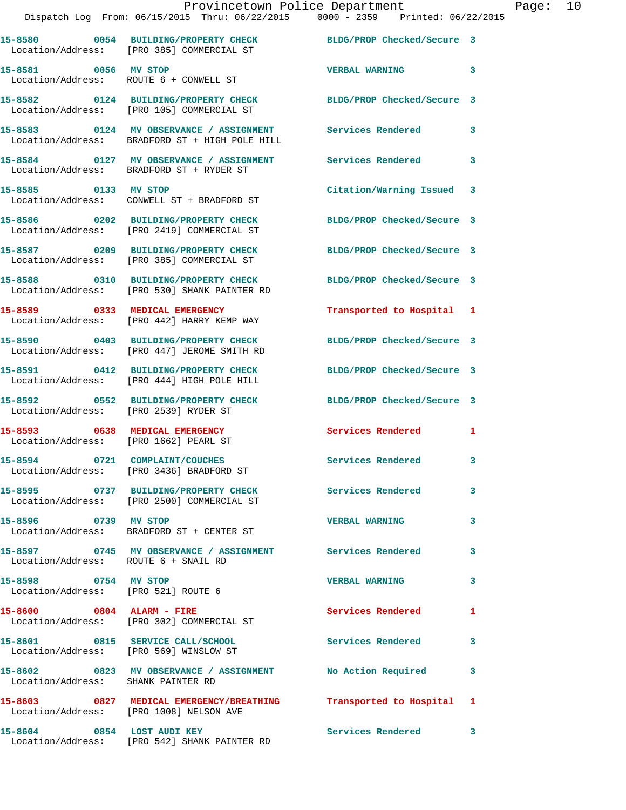|                                       | Dispatch Log From: 06/15/2015 Thru: 06/22/2015 0000 - 2359 Printed: 06/22/2015                                  | Provincetown Police Department Page: 10 |   |  |
|---------------------------------------|-----------------------------------------------------------------------------------------------------------------|-----------------------------------------|---|--|
|                                       | 15-8580 0054 BUILDING/PROPERTY CHECK BLDG/PROP Checked/Secure 3<br>Location/Address: [PRO 385] COMMERCIAL ST    |                                         |   |  |
| 15-8581 0056 MV STOP                  | Location/Address: ROUTE 6 + CONWELL ST                                                                          | VERBAL WARNING 3                        |   |  |
|                                       | 15-8582 0124 BUILDING/PROPERTY CHECK BLDG/PROP Checked/Secure 3<br>Location/Address: [PRO 105] COMMERCIAL ST    |                                         |   |  |
|                                       | 15-8583 0124 MV OBSERVANCE / ASSIGNMENT Services Rendered 3<br>Location/Address: BRADFORD ST + HIGH POLE HILL   |                                         |   |  |
|                                       | 15-8584 0127 MV OBSERVANCE / ASSIGNMENT Services Rendered<br>Location/Address: BRADFORD ST + RYDER ST           |                                         | 3 |  |
| 15-8585 0133 MV STOP                  | Location/Address: CONWELL ST + BRADFORD ST                                                                      | Citation/Warning Issued 3               |   |  |
|                                       | 15-8586 0202 BUILDING/PROPERTY CHECK BLDG/PROP Checked/Secure 3<br>Location/Address: [PRO 2419] COMMERCIAL ST   |                                         |   |  |
|                                       | 15-8587 0209 BUILDING/PROPERTY CHECK BLDG/PROP Checked/Secure 3<br>Location/Address: [PRO 385] COMMERCIAL ST    |                                         |   |  |
|                                       | 15-8588 0310 BUILDING/PROPERTY CHECK BLDG/PROP Checked/Secure 3<br>Location/Address: [PRO 530] SHANK PAINTER RD |                                         |   |  |
|                                       | 15-8589 0333 MEDICAL EMERGENCY<br>Location/Address: [PRO 442] HARRY KEMP WAY                                    | Transported to Hospital 1               |   |  |
|                                       | 15-8590 0403 BUILDING/PROPERTY CHECK BLDG/PROP Checked/Secure 3<br>Location/Address: [PRO 447] JEROME SMITH RD  |                                         |   |  |
|                                       | 15-8591 0412 BUILDING/PROPERTY CHECK BLDG/PROP Checked/Secure 3<br>Location/Address: [PRO 444] HIGH POLE HILL   |                                         |   |  |
| Location/Address: [PRO 2539] RYDER ST | 15-8592 0552 BUILDING/PROPERTY CHECK BLDG/PROP Checked/Secure 3                                                 |                                         |   |  |
| Location/Address: [PRO 1662] PEARL ST | 15-8593 0638 MEDICAL EMERGENCY                                                                                  | Services Rendered 1                     |   |  |
|                                       | 15-8594 0721 COMPLAINT/COUCHES<br>Location/Address: [PRO 3436] BRADFORD ST                                      | <b>Services Rendered</b>                |   |  |
|                                       | 15-8595 0737 BUILDING/PROPERTY CHECK Services Rendered<br>Location/Address: [PRO 2500] COMMERCIAL ST            |                                         | 3 |  |
| 15-8596 0739 MV STOP                  | Location/Address: BRADFORD ST + CENTER ST                                                                       | <b>VERBAL WARNING</b>                   | 3 |  |
| Location/Address: ROUTE 6 + SNAIL RD  | 15-8597 0745 MV OBSERVANCE / ASSIGNMENT Services Rendered                                                       |                                         | 3 |  |
| 15-8598 0754 MV STOP                  | Location/Address: [PRO 521] ROUTE 6                                                                             | <b>VERBAL WARNING</b>                   | 3 |  |
|                                       | 15-8600 0804 ALARM - FIRE<br>Location/Address: [PRO 302] COMMERCIAL ST                                          | Services Rendered                       | 1 |  |
|                                       | 15-8601 0815 SERVICE CALL/SCHOOL 5ervices Rendered<br>Location/Address: [PRO 569] WINSLOW ST                    |                                         | 3 |  |
| Location/Address: SHANK PAINTER RD    | 15-8602 0823 MV OBSERVANCE / ASSIGNMENT No Action Required                                                      |                                         | 3 |  |
|                                       | 15-8603 0827 MEDICAL EMERGENCY/BREATHING Transported to Hospital 1<br>Location/Address: [PRO 1008] NELSON AVE   |                                         |   |  |
| 15-8604 0854 LOST AUDI KEY            |                                                                                                                 | Services Rendered 3                     |   |  |

Location/Address: [PRO 542] SHANK PAINTER RD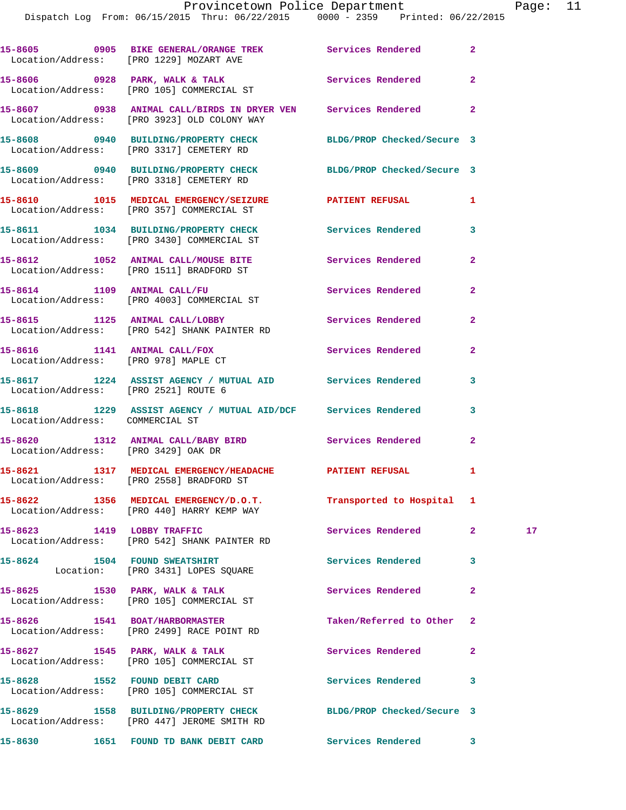|                                      | 15-8605 0905 BIKE GENERAL/ORANGE TREK Services Rendered 2<br>Location/Address: [PRO 1229] MOZART AVE           |                            |              |    |
|--------------------------------------|----------------------------------------------------------------------------------------------------------------|----------------------------|--------------|----|
|                                      | 15-8606 0928 PARK, WALK & TALK<br>Location/Address: [PRO 105] COMMERCIAL ST                                    | Services Rendered          | $\mathbf{2}$ |    |
|                                      | 15-8607 0938 ANIMAL CALL/BIRDS IN DRYER VEN Services Rendered 2<br>Location/Address: [PRO 3923] OLD COLONY WAY |                            |              |    |
|                                      | 15-8608 0940 BUILDING/PROPERTY CHECK BLDG/PROP Checked/Secure 3<br>Location/Address: [PRO 3317] CEMETERY RD    |                            |              |    |
|                                      | 15-8609 0940 BUILDING/PROPERTY CHECK BLDG/PROP Checked/Secure 3<br>Location/Address: [PRO 3318] CEMETERY RD    |                            |              |    |
|                                      | 15-8610 1015 MEDICAL EMERGENCY/SEIZURE PATIENT REFUSAL 1<br>Location/Address: [PRO 357] COMMERCIAL ST          |                            |              |    |
|                                      | 15-8611 1034 BUILDING/PROPERTY CHECK Services Rendered 3<br>Location/Address: [PRO 3430] COMMERCIAL ST         |                            |              |    |
|                                      | 15-8612 1052 ANIMAL CALL/MOUSE BITE<br>Location/Address: [PRO 1511] BRADFORD ST                                | Services Rendered          | $\mathbf{2}$ |    |
|                                      | 15-8614 1109 ANIMAL CALL/FU<br>Location/Address: [PRO 4003] COMMERCIAL ST                                      | Services Rendered          | $\mathbf{2}$ |    |
|                                      | 15-8615 1125 ANIMAL CALL/LOBBY Services Rendered<br>Location/Address: [PRO 542] SHANK PAINTER RD               |                            | $\mathbf{2}$ |    |
| Location/Address: [PRO 978] MAPLE CT | 15-8616 1141 ANIMAL CALL/FOX                                                                                   | Services Rendered          | $\mathbf{2}$ |    |
| Location/Address: [PRO 2521] ROUTE 6 | 15-8617 1224 ASSIST AGENCY / MUTUAL AID Services Rendered 3                                                    |                            |              |    |
| Location/Address: COMMERCIAL ST      | 15-8618 1229 ASSIST AGENCY / MUTUAL AID/DCF Services Rendered                                                  |                            | 3            |    |
| Location/Address: [PRO 3429] OAK DR  | 15-8620 1312 ANIMAL CALL/BABY BIRD Services Rendered                                                           |                            | $\mathbf{2}$ |    |
|                                      | 15-8621 1317 MEDICAL EMERGENCY/HEADACHE PATIENT REFUSAL<br>Location/Address: [PRO 2558] BRADFORD ST            |                            | 1            |    |
|                                      | 15-8622 1356 MEDICAL EMERGENCY/D.O.T.<br>Location/Address: [PRO 440] HARRY KEMP WAY                            | Transported to Hospital 1  |              |    |
|                                      | 15-8623 1419 LOBBY TRAFFIC<br>Location/Address: [PRO 542] SHANK PAINTER RD                                     | Services Rendered          | $\mathbf{2}$ | 17 |
|                                      | 15-8624 1504 FOUND SWEATSHIRT<br>Location: [PRO 3431] LOPES SQUARE                                             | <b>Services Rendered</b>   | 3            |    |
|                                      | 15-8625 1530 PARK, WALK & TALK<br>Location/Address: [PRO 105] COMMERCIAL ST                                    | <b>Services Rendered</b>   | $\mathbf{2}$ |    |
|                                      | 15-8626 1541 BOAT/HARBORMASTER<br>Location/Address: [PRO 2499] RACE POINT RD                                   | Taken/Referred to Other 2  |              |    |
|                                      | 15-8627 1545 PARK, WALK & TALK<br>Location/Address: [PRO 105] COMMERCIAL ST                                    | Services Rendered          | $\mathbf{2}$ |    |
| 15-8628 1552 FOUND DEBIT CARD        | Location/Address: [PRO 105] COMMERCIAL ST                                                                      | Services Rendered          | 3            |    |
|                                      | 15-8629 1558 BUILDING/PROPERTY CHECK<br>Location/Address: [PRO 447] JEROME SMITH RD                            | BLDG/PROP Checked/Secure 3 |              |    |
|                                      | 15-8630 1651 FOUND TD BANK DEBIT CARD                                                                          | Services Rendered 3        |              |    |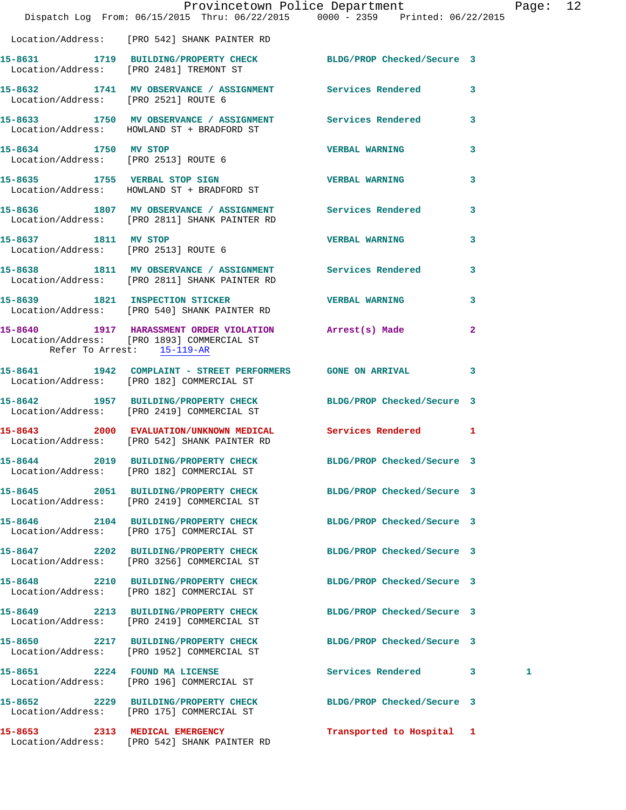|                            | Dispatch Log From: 06/15/2015 Thru: 06/22/2015 0000 - 2359 Printed: 06/22/2015                                | Provincetown Police Department Page: 12 |              |   |  |
|----------------------------|---------------------------------------------------------------------------------------------------------------|-----------------------------------------|--------------|---|--|
|                            | Location/Address: [PRO 542] SHANK PAINTER RD                                                                  |                                         |              |   |  |
|                            | 15-8631 1719 BUILDING/PROPERTY CHECK BLDG/PROP Checked/Secure 3<br>Location/Address: [PRO 2481] TREMONT ST    |                                         |              |   |  |
|                            | 15-8632 1741 MV OBSERVANCE / ASSIGNMENT Services Rendered 3<br>Location/Address: [PRO 2521] ROUTE 6           |                                         |              |   |  |
|                            | 15-8633 1750 MV OBSERVANCE / ASSIGNMENT Services Rendered 3<br>Location/Address: HOWLAND ST + BRADFORD ST     |                                         |              |   |  |
|                            | Location/Address: [PRO 2513] ROUTE 6                                                                          |                                         | $\mathbf{3}$ |   |  |
|                            | 15-8635 1755 VERBAL STOP SIGN VERBAL WARNING 3<br>Location/Address: HOWLAND ST + BRADFORD ST                  |                                         |              |   |  |
|                            | 15-8636 1807 MV OBSERVANCE / ASSIGNMENT Services Rendered<br>Location/Address: [PRO 2811] SHANK PAINTER RD    |                                         | $\mathbf{3}$ |   |  |
| 15-8637 1811 MV STOP       | Location/Address: [PRO 2513] ROUTE 6                                                                          | <b>VERBAL WARNING</b> 3                 |              |   |  |
|                            | 15-8638 1811 MV OBSERVANCE / ASSIGNMENT Services Rendered 3<br>Location/Address: [PRO 2811] SHANK PAINTER RD  |                                         |              |   |  |
|                            | 15-8639 1821 INSPECTION STICKER<br>Location/Address: [PRO 540] SHANK PAINTER RD                               | <b>VERBAL WARNING</b>                   | 3            |   |  |
| Refer To Arrest: 15-119-AR | 15-8640 1917 HARASSMENT ORDER VIOLATION Arrest(s) Made<br>Location/Address: [PRO 1893] COMMERCIAL ST          |                                         | $\mathbf{2}$ |   |  |
|                            | 15-8641 1942 COMPLAINT - STREET PERFORMERS GONE ON ARRIVAL 3<br>Location/Address: [PRO 182] COMMERCIAL ST     |                                         |              |   |  |
|                            | 15-8642 1957 BUILDING/PROPERTY CHECK BLDG/PROP Checked/Secure 3<br>Location/Address: [PRO 2419] COMMERCIAL ST |                                         |              |   |  |
|                            | 15-8643 2000 EVALUATION/UNKNOWN MEDICAL Services Rendered 1<br>Location/Address: [PRO 542] SHANK PAINTER RD   |                                         |              |   |  |
|                            | 15-8644 2019 BUILDING/PROPERTY CHECK<br>Location/Address: [PRO 182] COMMERCIAL ST                             | BLDG/PROP Checked/Secure 3              |              |   |  |
|                            | 15-8645 2051 BUILDING/PROPERTY CHECK<br>Location/Address: [PRO 2419] COMMERCIAL ST                            | BLDG/PROP Checked/Secure 3              |              |   |  |
|                            | 15-8646 2104 BUILDING/PROPERTY CHECK<br>Location/Address: [PRO 175] COMMERCIAL ST                             | BLDG/PROP Checked/Secure 3              |              |   |  |
|                            | 15-8647 2202 BUILDING/PROPERTY CHECK<br>Location/Address: [PRO 3256] COMMERCIAL ST                            | BLDG/PROP Checked/Secure 3              |              |   |  |
|                            | 15-8648 2210 BUILDING/PROPERTY CHECK<br>Location/Address: [PRO 182] COMMERCIAL ST                             | BLDG/PROP Checked/Secure 3              |              |   |  |
|                            | 15-8649 2213 BUILDING/PROPERTY CHECK<br>Location/Address: [PRO 2419] COMMERCIAL ST                            | BLDG/PROP Checked/Secure 3              |              |   |  |
|                            | 15-8650 2217 BUILDING/PROPERTY CHECK<br>Location/Address: [PRO 1952] COMMERCIAL ST                            | BLDG/PROP Checked/Secure 3              |              |   |  |
|                            | 15-8651 2224 FOUND MA LICENSE<br>Location/Address: [PRO 196] COMMERCIAL ST                                    | Services Rendered 3                     |              | 1 |  |
|                            | 15-8652 2229 BUILDING/PROPERTY CHECK<br>Location/Address: [PRO 175] COMMERCIAL ST                             | BLDG/PROP Checked/Secure 3              |              |   |  |
|                            | 15-8653 2313 MEDICAL EMERGENCY<br>Location/Address: [PRO 542] SHANK PAINTER RD                                | Transported to Hospital 1               |              |   |  |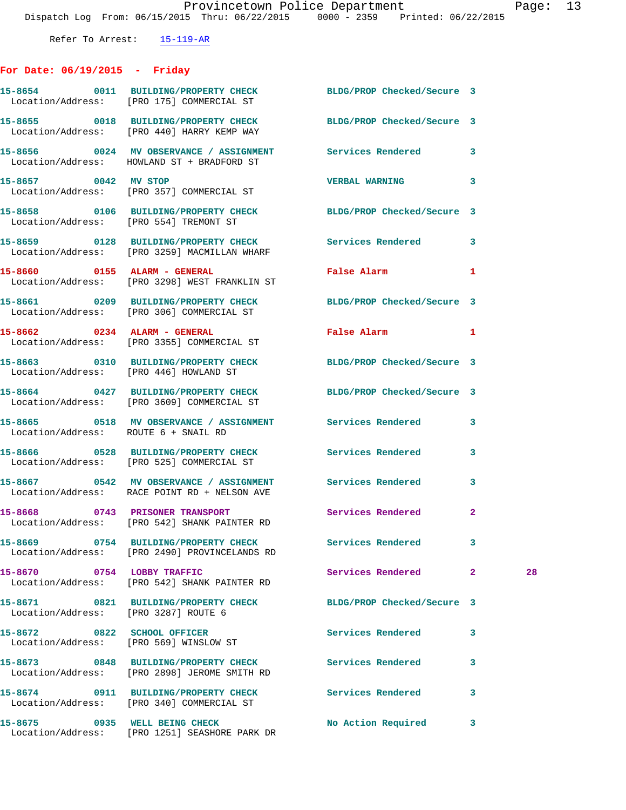## **For Date: 06/19/2015 - Friday**

|                                      | 15-8654 0011 BUILDING/PROPERTY CHECK<br>Location/Address: [PRO 175] COMMERCIAL ST                                       | BLDG/PROP Checked/Secure 3   |                |    |
|--------------------------------------|-------------------------------------------------------------------------------------------------------------------------|------------------------------|----------------|----|
|                                      | 15-8655 0018 BUILDING/PROPERTY CHECK<br>Location/Address: [PRO 440] HARRY KEMP WAY                                      | BLDG/PROP Checked/Secure 3   |                |    |
|                                      | 15-8656 0024 MV OBSERVANCE / ASSIGNMENT Services Rendered 3<br>Location/Address: HOWLAND ST + BRADFORD ST               |                              |                |    |
| 15-8657 0042 MV STOP                 | Location/Address: [PRO 357] COMMERCIAL ST                                                                               | VERBAL WARNING 3             |                |    |
|                                      | 15-8658 0106 BUILDING/PROPERTY CHECK BLDG/PROP Checked/Secure 3<br>Location/Address: [PRO 554] TREMONT ST               |                              |                |    |
|                                      | 15-8659 		 0128 BUILDING/PROPERTY CHECK Services Rendered 3<br>Location/Address: [PRO 3259] MACMILLAN WHARF             |                              |                |    |
|                                      | 15-8660 0155 ALARM - GENERAL<br>Location/Address: [PRO 3298] WEST FRANKLIN ST                                           | False Alarm <b>Example 2</b> | 1              |    |
|                                      | 15-8661 0209 BUILDING/PROPERTY CHECK BLDG/PROP Checked/Secure 3<br>Location/Address: [PRO 306] COMMERCIAL ST            |                              |                |    |
|                                      | 15-8662 0234 ALARM - GENERAL<br>Location/Address: [PRO 3355] COMMERCIAL ST                                              | False Alarm 1                |                |    |
|                                      | 15-8663 0310 BUILDING/PROPERTY CHECK<br>Location/Address: [PRO 446] HOWLAND ST                                          | BLDG/PROP Checked/Secure 3   |                |    |
|                                      | 15-8664 0427 BUILDING/PROPERTY CHECK BLDG/PROP Checked/Secure 3<br>Location/Address: [PRO 3609] COMMERCIAL ST           |                              |                |    |
| Location/Address: ROUTE 6 + SNAIL RD | 15-8665 0518 MV OBSERVANCE / ASSIGNMENT Services Rendered                                                               |                              | 3              |    |
|                                      | 15-8666 0528 BUILDING/PROPERTY CHECK Services Rendered<br>Location/Address: [PRO 525] COMMERCIAL ST                     |                              | 3              |    |
|                                      | 15-8667 6542 MV OBSERVANCE / ASSIGNMENT Services Rendered<br>Location/Address: RACE POINT RD + NELSON AVE               |                              | 3              |    |
|                                      | 15-8668 0743 PRISONER TRANSPORT Services Rendered<br>Location/Address: [PRO 542] SHANK PAINTER RD                       |                              | $\overline{2}$ |    |
|                                      | 15-8669       0754   BUILDING/PROPERTY CHECK         Services Rendered<br>Location/Address: [PRO 2490] PROVINCELANDS RD |                              | 3              |    |
| 15-8670 0754 LOBBY TRAFFIC           | Location/Address: [PRO 542] SHANK PAINTER RD                                                                            | Services Rendered            | $\mathbf{2}$   | 28 |
| Location/Address: [PRO 3287] ROUTE 6 | 15-8671 0821 BUILDING/PROPERTY CHECK                                                                                    | BLDG/PROP Checked/Secure 3   |                |    |
|                                      | 15-8672 0822 SCHOOL OFFICER<br>Location/Address: [PRO 569] WINSLOW ST                                                   | Services Rendered            | 3              |    |
|                                      | 15-8673 0848 BUILDING/PROPERTY CHECK<br>Location/Address: [PRO 2898] JEROME SMITH RD                                    | Services Rendered            | 3              |    |
|                                      | 15-8674 0911 BUILDING/PROPERTY CHECK<br>Location/Address: [PRO 340] COMMERCIAL ST                                       | Services Rendered            | 3              |    |
| 15-8675 0935 WELL BEING CHECK        | Location/Address: [PRO 1251] SEASHORE PARK DR                                                                           | No Action Required           | 3              |    |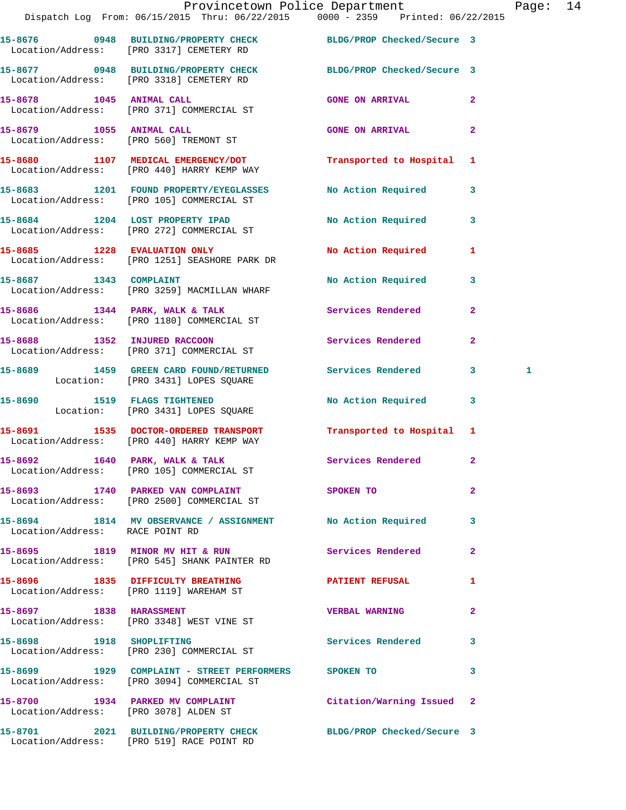|                                 | Provincetown Police Department Page: 14<br>Dispatch Log From: 06/15/2015 Thru: 06/22/2015 0000 - 2359 Printed: 06/22/2015 |                           |                |   |  |
|---------------------------------|---------------------------------------------------------------------------------------------------------------------------|---------------------------|----------------|---|--|
|                                 | 15-8676 0948 BUILDING/PROPERTY CHECK BLDG/PROP Checked/Secure 3<br>Location/Address: [PRO 3317] CEMETERY RD               |                           |                |   |  |
|                                 | 15-8677 0948 BUILDING/PROPERTY CHECK BLDG/PROP Checked/Secure 3<br>Location/Address: [PRO 3318] CEMETERY RD               |                           |                |   |  |
|                                 | 15-8678 1045 ANIMAL CALL<br>Location/Address: [PRO 371] COMMERCIAL ST                                                     | GONE ON ARRIVAL 2         |                |   |  |
|                                 | 15-8679 1055 ANIMAL CALL<br>Location/Address: [PRO 560] TREMONT ST                                                        | <b>GONE ON ARRIVAL 2</b>  |                |   |  |
|                                 | 15-8680 1107 MEDICAL EMERGENCY/DOT<br>Location/Address: [PRO 440] HARRY KEMP WAY                                          | Transported to Hospital 1 |                |   |  |
|                                 | 15-8683 1201 FOUND PROPERTY/EYEGLASSES No Action Required 3<br>Location/Address: [PRO 105] COMMERCIAL ST                  |                           |                |   |  |
|                                 | 15-8684 1204 LOST PROPERTY IPAD<br>Location/Address: [PRO 272] COMMERCIAL ST                                              | No Action Required 3      |                |   |  |
|                                 | 15-8685 1228 EVALUATION ONLY<br>Location/Address: [PRO 1251] SEASHORE PARK DR                                             | No Action Required 1      |                |   |  |
|                                 | 15-8687 1343 COMPLAINT<br>Location/Address: [PRO 3259] MACMILLAN WHARF                                                    | No Action Required 3      |                |   |  |
|                                 | 15-8686 1344 PARK, WALK & TALK 1988 Services Rendered<br>Location/Address: [PRO 1180] COMMERCIAL ST                       |                           | $\mathbf{2}$   |   |  |
|                                 | 15-8688 1352 INJURED RACCOON<br>Location/Address: [PRO 371] COMMERCIAL ST                                                 | Services Rendered         | $\mathbf{2}$   |   |  |
|                                 | 15-8689 1459 GREEN CARD FOUND/RETURNED Services Rendered 3<br>Location: [PRO 3431] LOPES SQUARE                           |                           |                | 1 |  |
|                                 | 15-8690 1519 FLAGS TIGHTENED<br>Location: [PRO 3431] LOPES SQUARE                                                         | No Action Required 3      |                |   |  |
|                                 | 15-8691 1535 DOCTOR-ORDERED TRANSPORT<br>Location/Address: [PRO 440] HARRY KEMP WAY                                       | Transported to Hospital 1 |                |   |  |
|                                 | $15-8692$ 1640 PARK, WALK & TALK<br>Location/Address: [PRO 105] COMMERCIAL ST                                             | Services Rendered         | $\mathbf{2}$   |   |  |
|                                 | 15-8693 1740 PARKED VAN COMPLAINT SPOKEN TO<br>Location/Address: [PRO 2500] COMMERCIAL ST                                 |                           | $\overline{2}$ |   |  |
| Location/Address: RACE POINT RD | 15-8694 1814 MV OBSERVANCE / ASSIGNMENT No Action Required 3                                                              |                           |                |   |  |
|                                 | 15-8695 1819 MINOR MV HIT & RUN Services Rendered<br>Location/Address: [PRO 545] SHANK PAINTER RD                         |                           | $\mathbf{2}$   |   |  |
|                                 | 15-8696 1835 DIFFICULTY BREATHING<br>Location/Address: [PRO 1119] WAREHAM ST                                              | PATIENT REFUSAL           | $\mathbf{1}$   |   |  |
|                                 | 15-8697 1838 HARASSMENT<br>Location/Address: [PRO 3348] WEST VINE ST                                                      | <b>VERBAL WARNING</b>     | $\mathbf{2}$   |   |  |
|                                 | 15-8698 1918 SHOPLIFTING<br>Location/Address: [PRO 230] COMMERCIAL ST                                                     | Services Rendered 3       |                |   |  |
|                                 | 15-8699 1929 COMPLAINT - STREET PERFORMERS SPOKEN TO<br>Location/Address: [PRO 3094] COMMERCIAL ST                        |                           | 3              |   |  |
|                                 | 15-8700 1934 PARKED MV COMPLAINT Citation/Warning Issued 2<br>Location/Address: [PRO 3078] ALDEN ST                       |                           |                |   |  |
|                                 | 15-8701 2021 BUILDING/PROPERTY CHECK BLDG/PROP Checked/Secure 3<br>Location/Address: [PRO 519] RACE POINT RD              |                           |                |   |  |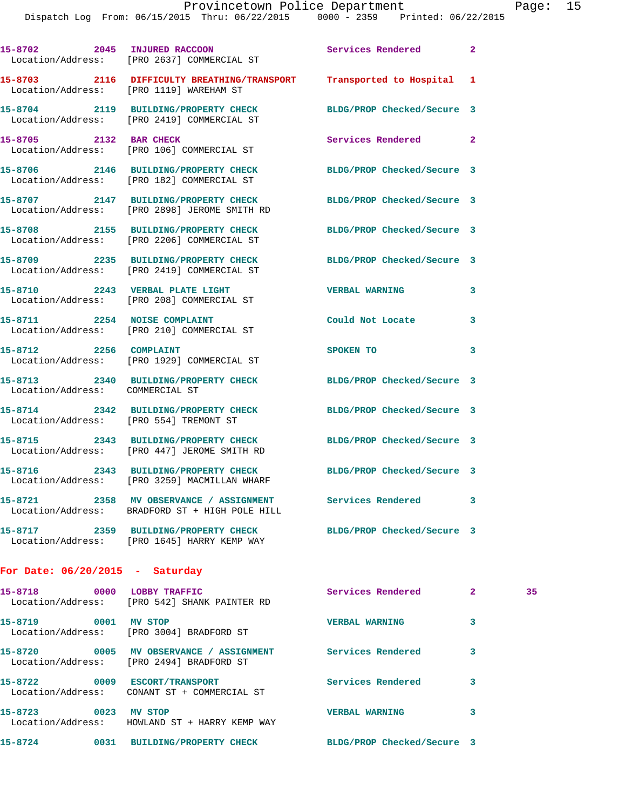|                                        | 15-8702 2045 INJURED RACCOON<br>Location/Address: [PRO 2637] COMMERCIAL ST                | Services Rendered          | $\mathbf{2}$ |
|----------------------------------------|-------------------------------------------------------------------------------------------|----------------------------|--------------|
|                                        | 15-8703 2116 DIFFICULTY BREATHING/TRANSPORT<br>Location/Address: [PRO 1119] WAREHAM ST    | Transported to Hospital 1  |              |
|                                        | 15-8704 2119 BUILDING/PROPERTY CHECK<br>Location/Address: [PRO 2419] COMMERCIAL ST        | BLDG/PROP Checked/Secure 3 |              |
| 15-8705 2132 BAR CHECK                 | Location/Address: [PRO 106] COMMERCIAL ST                                                 | Services Rendered 2        |              |
| 15-8706                                | 2146 BUILDING/PROPERTY CHECK<br>Location/Address: [PRO 182] COMMERCIAL ST                 | BLDG/PROP Checked/Secure 3 |              |
|                                        | 15-8707 2147 BUILDING/PROPERTY CHECK<br>Location/Address: [PRO 2898] JEROME SMITH RD      | BLDG/PROP Checked/Secure 3 |              |
|                                        | 15-8708 2155 BUILDING/PROPERTY CHECK<br>Location/Address: [PRO 2206] COMMERCIAL ST        | BLDG/PROP Checked/Secure 3 |              |
|                                        | 15-8709 2235 BUILDING/PROPERTY CHECK<br>Location/Address: [PRO 2419] COMMERCIAL ST        | BLDG/PROP Checked/Secure 3 |              |
| 15-8710 2243 VERBAL PLATE LIGHT        | Location/Address: [PRO 208] COMMERCIAL ST                                                 | <b>VERBAL WARNING</b>      | 3            |
| 15-8711 2254 NOISE COMPLAINT           | Location/Address: [PRO 210] COMMERCIAL ST                                                 | Could Not Locate 3         |              |
| 15-8712 2256 COMPLAINT                 | Location/Address: [PRO 1929] COMMERCIAL ST                                                | SPOKEN TO                  | 3            |
|                                        | 15-8713 2340 BUILDING/PROPERTY CHECK<br>Location/Address: COMMERCIAL ST                   | BLDG/PROP Checked/Secure 3 |              |
| Location/Address: [PRO 554] TREMONT ST | 15-8714 2342 BUILDING/PROPERTY CHECK                                                      | BLDG/PROP Checked/Secure 3 |              |
|                                        | 15-8715 2343 BUILDING/PROPERTY CHECK<br>Location/Address: [PRO 447] JEROME SMITH RD       | BLDG/PROP Checked/Secure 3 |              |
| 15-8716                                | 2343 BUILDING/PROPERTY CHECK<br>Location/Address: [PRO 3259] MACMILLAN WHARF              | BLDG/PROP Checked/Secure 3 |              |
|                                        | 15-8721 2358 MV OBSERVANCE / ASSIGNMENT<br>Location/Address: BRADFORD ST + HIGH POLE HILL | <b>Services Rendered</b> 3 |              |
|                                        | 15-8717 2359 BUILDING/PROPERTY CHECK<br>Location/Address: [PRO 1645] HARRY KEMP WAY       | BLDG/PROP Checked/Secure 3 |              |

## **For Date: 06/20/2015 - Saturday**

| 15-8718<br>0000                      | LOBBY TRAFFIC<br>Location/Address: [PRO 542] SHANK PAINTER RD | Services Rendered          | 2 | 35 |
|--------------------------------------|---------------------------------------------------------------|----------------------------|---|----|
| 15-8719<br>0001                      | MV STOP<br>Location/Address: [PRO 3004] BRADFORD ST           | <b>VERBAL WARNING</b>      | 3 |    |
| 0005<br>15-8720<br>Location/Address: | MV OBSERVANCE / ASSIGNMENT<br>[PRO 2494] BRADFORD ST          | Services Rendered          | 3 |    |
| 15-8722<br>0009<br>Location/Address: | ESCORT/TRANSPORT<br>CONANT ST + COMMERCIAL ST                 | Services Rendered          | 3 |    |
| 15-8723<br>0023<br>Location/Address: | MV STOP<br>HOWLAND ST + HARRY KEMP WAY                        | <b>VERBAL WARNING</b>      | 3 |    |
| 15-8724<br>0031                      | <b>BUILDING/PROPERTY CHECK</b>                                | BLDG/PROP Checked/Secure 3 |   |    |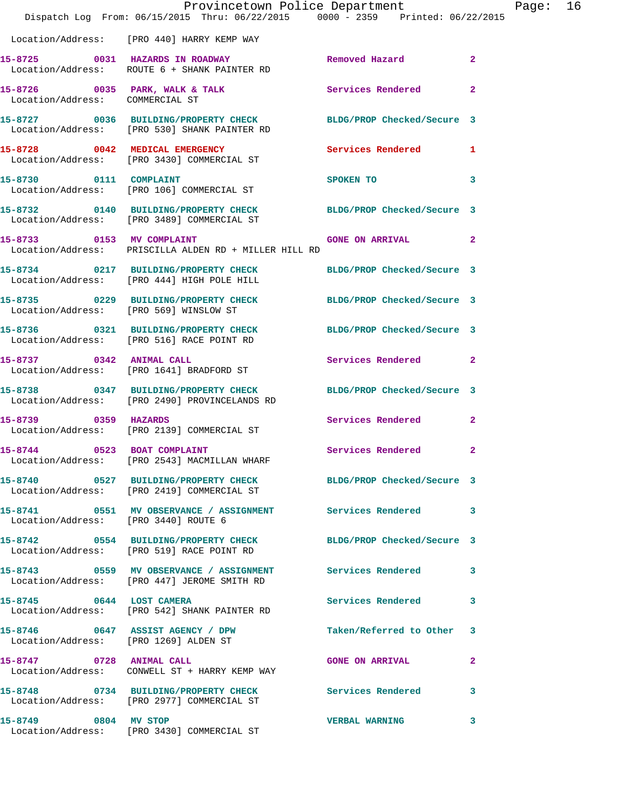|                                      | Provincetown Police Department<br>Dispatch Log From: 06/15/2015 Thru: 06/22/2015 0000 - 2359 Printed: 06/22/2015 |                                |                | Page: 16 |  |
|--------------------------------------|------------------------------------------------------------------------------------------------------------------|--------------------------------|----------------|----------|--|
|                                      | Location/Address: [PRO 440] HARRY KEMP WAY                                                                       |                                |                |          |  |
|                                      | 15-8725 0031 HAZARDS IN ROADWAY Removed Hazard<br>Location/Address: ROUTE 6 + SHANK PAINTER RD                   |                                | $\overline{2}$ |          |  |
| Location/Address: COMMERCIAL ST      | 15-8726 0035 PARK, WALK & TALK 6 Services Rendered 2                                                             |                                |                |          |  |
|                                      | 15-8727 0036 BUILDING/PROPERTY CHECK BLDG/PROP Checked/Secure 3<br>Location/Address: [PRO 530] SHANK PAINTER RD  |                                |                |          |  |
|                                      | 15-8728 0042 MEDICAL EMERGENCY Services Rendered 1<br>Location/Address: [PRO 3430] COMMERCIAL ST                 |                                |                |          |  |
| 15-8730 0111 COMPLAINT               | Location/Address: [PRO 106] COMMERCIAL ST                                                                        | SPOKEN TO THE STRIKE SPOKEN TO | 3              |          |  |
|                                      | 15-8732 0140 BUILDING/PROPERTY CHECK BLDG/PROP Checked/Secure 3<br>Location/Address: [PRO 3489] COMMERCIAL ST    |                                |                |          |  |
|                                      | 15-8733 0153 MV COMPLAINT<br>Location/Address: PRISCILLA ALDEN RD + MILLER HILL RD                               | GONE ON ARRIVAL 2              |                |          |  |
|                                      | 15-8734 0217 BUILDING/PROPERTY CHECK BLDG/PROP Checked/Secure 3<br>Location/Address: [PRO 444] HIGH POLE HILL    |                                |                |          |  |
|                                      | 15-8735 0229 BUILDING/PROPERTY CHECK BLDG/PROP Checked/Secure 3<br>Location/Address: [PRO 569] WINSLOW ST        |                                |                |          |  |
|                                      | 15-8736 0321 BUILDING/PROPERTY CHECK BLDG/PROP Checked/Secure 3<br>Location/Address: [PRO 516] RACE POINT RD     |                                |                |          |  |
|                                      | 15-8737 0342 ANIMAL CALL<br>Location/Address: [PRO 1641] BRADFORD ST                                             | Services Rendered 2            |                |          |  |
|                                      | 15-8738 0347 BUILDING/PROPERTY CHECK BLDG/PROP Checked/Secure 3<br>Location/Address: [PRO 2490] PROVINCELANDS RD |                                |                |          |  |
|                                      | 15-8739 0359 HAZARDS<br>Location/Address: [PRO 2139] COMMERCIAL ST                                               | Services Rendered              | $\mathbf{2}$   |          |  |
| 15-8744 0523 BOAT COMPLAINT          | Location/Address: [PRO 2543] MACMILLAN WHARF                                                                     | Services Rendered 2            |                |          |  |
|                                      | 15-8740 0527 BUILDING/PROPERTY CHECK BLDG/PROP Checked/Secure 3<br>Location/Address: [PRO 2419] COMMERCIAL ST    |                                |                |          |  |
| Location/Address: [PRO 3440] ROUTE 6 | 15-8741 0551 MV OBSERVANCE / ASSIGNMENT Services Rendered 3                                                      |                                |                |          |  |
|                                      | 15-8742 0554 BUILDING/PROPERTY CHECK BLDG/PROP Checked/Secure 3<br>Location/Address: [PRO 519] RACE POINT RD     |                                |                |          |  |
|                                      | 15-8743 0559 MV OBSERVANCE / ASSIGNMENT Services Rendered 3<br>Location/Address: [PRO 447] JEROME SMITH RD       |                                |                |          |  |
|                                      | 15-8745 0644 LOST CAMERA<br>Location/Address: [PRO 542] SHANK PAINTER RD                                         | Services Rendered              | 3              |          |  |
|                                      | 15-8746 0647 ASSIST AGENCY / DPW<br>Location/Address: [PRO 1269] ALDEN ST                                        | Taken/Referred to Other 3      |                |          |  |
|                                      | 15-8747 0728 ANIMAL CALL<br>Location/Address: CONWELL ST + HARRY KEMP WAY                                        | <b>GONE ON ARRIVAL</b>         | $\mathbf{2}$   |          |  |
|                                      | 15-8748 0734 BUILDING/PROPERTY CHECK Services Rendered 3<br>Location/Address: [PRO 2977] COMMERCIAL ST           |                                |                |          |  |
|                                      | 15-8749 0804 MV STOP<br>Location/Address: [PRO 3430] COMMERCIAL ST                                               | <b>VERBAL WARNING</b>          | 3              |          |  |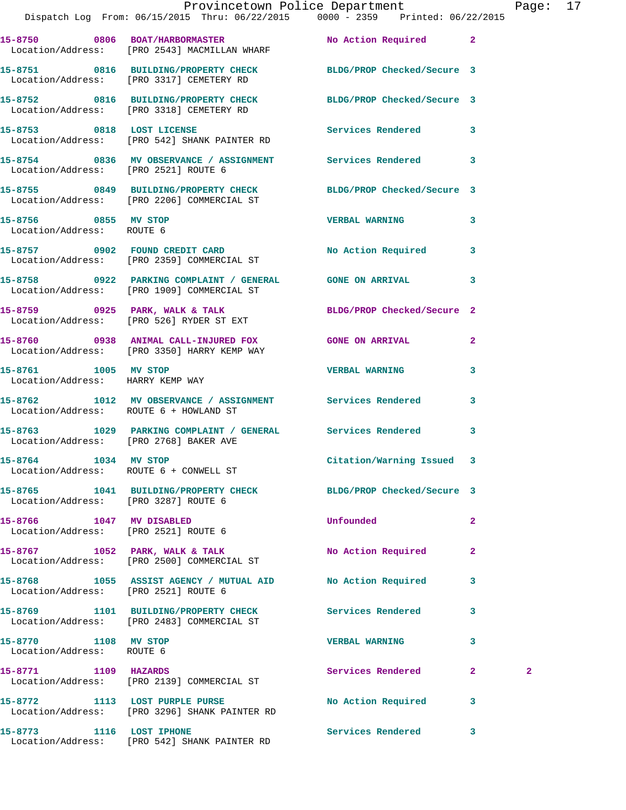|                                                                | Provincetown Police Department Page: 17                                                                       |                           |              |              |  |
|----------------------------------------------------------------|---------------------------------------------------------------------------------------------------------------|---------------------------|--------------|--------------|--|
|                                                                | Dispatch Log From: 06/15/2015 Thru: 06/22/2015 0000 - 2359 Printed: 06/22/2015                                |                           |              |              |  |
|                                                                | 15-8750 0806 BOAT/HARBORMASTER No Action Required 2<br>Location/Address: [PRO 2543] MACMILLAN WHARF           |                           |              |              |  |
|                                                                | 15-8751 0816 BUILDING/PROPERTY CHECK BLDG/PROP Checked/Secure 3<br>Location/Address: [PRO 3317] CEMETERY RD   |                           |              |              |  |
|                                                                | 15-8752 0816 BUILDING/PROPERTY CHECK BLDG/PROP Checked/Secure 3<br>Location/Address: [PRO 3318] CEMETERY RD   |                           |              |              |  |
|                                                                |                                                                                                               |                           |              |              |  |
|                                                                | 15-8754 0836 MV OBSERVANCE / ASSIGNMENT Services Rendered 3<br>Location/Address: [PRO 2521] ROUTE 6           |                           |              |              |  |
|                                                                | 15-8755 0849 BUILDING/PROPERTY CHECK BLDG/PROP Checked/Secure 3<br>Location/Address: [PRO 2206] COMMERCIAL ST |                           |              |              |  |
| 15-8756 0855 MV STOP<br>Location/Address: ROUTE 6              |                                                                                                               | <b>VERBAL WARNING</b>     | $\mathbf{3}$ |              |  |
|                                                                | 15-8757 0902 FOUND CREDIT CARD<br>Location/Address: [PRO 2359] COMMERCIAL ST                                  | No Action Required 3      |              |              |  |
|                                                                | 15-8758 0922 PARKING COMPLAINT / GENERAL GONE ON ARRIVAL 3<br>Location/Address: [PRO 1909] COMMERCIAL ST      |                           |              |              |  |
|                                                                | 15-8759 0925 PARK, WALK & TALK 2 BLDG/PROP Checked/Secure 2<br>Location/Address: [PRO 526] RYDER ST EXT       |                           |              |              |  |
|                                                                | 15-8760 0938 ANIMAL CALL-INJURED FOX GONE ON ARRIVAL 2<br>Location/Address: [PRO 3350] HARRY KEMP WAY         |                           |              |              |  |
| Location/Address: HARRY KEMP WAY                               | 15-8761 1005 MV STOP                                                                                          | <b>VERBAL WARNING</b>     | 3            |              |  |
|                                                                | 15-8762 1012 MV OBSERVANCE / ASSIGNMENT Services Rendered 3<br>Location/Address: ROUTE 6 + HOWLAND ST         |                           |              |              |  |
| Location/Address: [PRO 2768] BAKER AVE                         | 15-8763 1029 PARKING COMPLAINT / GENERAL Services Rendered 3                                                  |                           |              |              |  |
| 15-8764 1034 MV STOP<br>Location/Address: ROUTE 6 + CONWELL ST |                                                                                                               | Citation/Warning Issued 3 |              |              |  |
| Location/Address: [PRO 3287] ROUTE 6                           | 15-8765 1041 BUILDING/PROPERTY CHECK BLDG/PROP Checked/Secure 3                                               |                           |              |              |  |
| 15-8766 1047 MV DISABLED                                       | Location/Address: [PRO 2521] ROUTE 6                                                                          | Unfounded                 | $\mathbf{2}$ |              |  |
|                                                                | 15-8767 1052 PARK, WALK & TALK<br>Location/Address: [PRO 2500] COMMERCIAL ST                                  | No Action Required        | $\mathbf{2}$ |              |  |
| Location/Address: [PRO 2521] ROUTE 6                           | 15-8768 1055 ASSIST AGENCY / MUTUAL AID No Action Required 3                                                  |                           |              |              |  |
|                                                                | 15-8769 1101 BUILDING/PROPERTY CHECK Services Rendered<br>Location/Address: [PRO 2483] COMMERCIAL ST          |                           | 3            |              |  |
| 15-8770 1108 MV STOP<br>Location/Address: ROUTE 6              |                                                                                                               | <b>VERBAL WARNING</b>     | 3            |              |  |
| 15-8771 1109 HAZARDS                                           | Location/Address: [PRO 2139] COMMERCIAL ST                                                                    | Services Rendered         | $\mathbf{2}$ | $\mathbf{2}$ |  |
|                                                                | 15-8772 1113 LOST PURPLE PURSE<br>Location/Address: [PRO 3296] SHANK PAINTER RD                               | No Action Required 3      |              |              |  |
| 15-8773 1116 LOST IPHONE                                       |                                                                                                               | Services Rendered         | 3            |              |  |

Location/Address: [PRO 542] SHANK PAINTER RD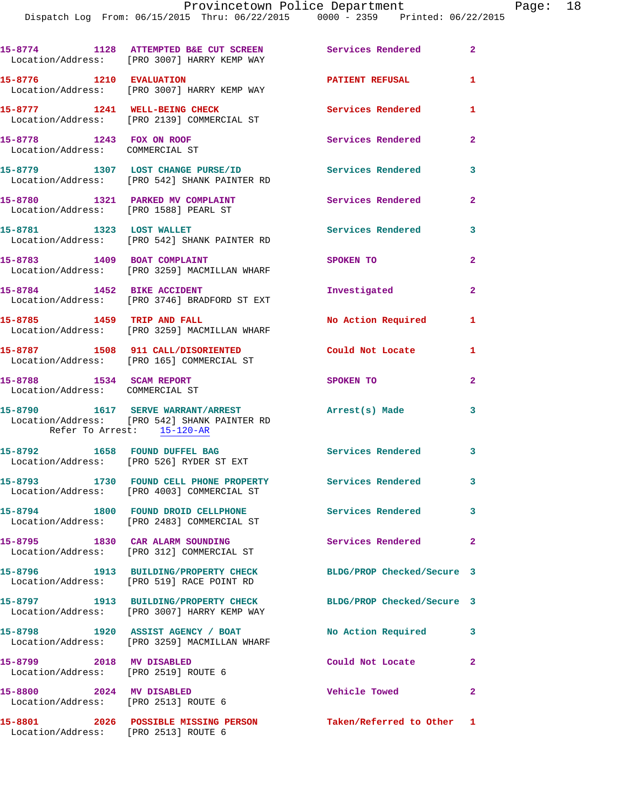|                                                                           | 15-8774 1128 ATTEMPTED B&E CUT SCREEN<br>Location/Address: [PRO 3007] HARRY KEMP WAY                            | Services Rendered          | $\mathbf{2}$   |
|---------------------------------------------------------------------------|-----------------------------------------------------------------------------------------------------------------|----------------------------|----------------|
| 15-8776 1210 EVALUATION                                                   | Location/Address: [PRO 3007] HARRY KEMP WAY                                                                     | <b>PATIENT REFUSAL</b>     | $\mathbf{1}$   |
|                                                                           | 15-8777 1241 WELL-BEING CHECK<br>Location/Address: [PRO 2139] COMMERCIAL ST                                     | <b>Services Rendered</b>   | 1              |
| 15-8778 1243 FOX ON ROOF<br>Location/Address: COMMERCIAL ST               |                                                                                                                 | Services Rendered          | $\mathbf{2}$   |
|                                                                           | 15-8779 1307 LOST CHANGE PURSE/ID<br>Location/Address: [PRO 542] SHANK PAINTER RD                               | <b>Services Rendered</b>   | 3              |
| 15-8780 1321 PARKED MV COMPLAINT<br>Location/Address: [PRO 1588] PEARL ST |                                                                                                                 | Services Rendered          | $\mathbf{2}$   |
|                                                                           | 15-8781 1323 LOST WALLET<br>Location/Address: [PRO 542] SHANK PAINTER RD                                        | <b>Services Rendered</b>   | 3              |
| 15-8783 1409 BOAT COMPLAINT                                               | Location/Address: [PRO 3259] MACMILLAN WHARF                                                                    | SPOKEN TO                  | $\mathbf{2}$   |
| 15-8784 1452 BIKE ACCIDENT                                                | Location/Address: [PRO 3746] BRADFORD ST EXT                                                                    | Investigated               | $\mathbf{2}$   |
| 15-8785 1459 TRIP AND FALL                                                | Location/Address: [PRO 3259] MACMILLAN WHARF                                                                    | No Action Required         | 1              |
|                                                                           | 15-8787 1508 911 CALL/DISORIENTED<br>Location/Address: [PRO 165] COMMERCIAL ST                                  | Could Not Locate           | 1              |
| 15-8788 1534 SCAM REPORT<br>Location/Address: COMMERCIAL ST               |                                                                                                                 | SPOKEN TO                  | $\mathbf{2}$   |
|                                                                           | 15-8790 1617 SERVE WARRANT/ARREST<br>Location/Address: [PRO 542] SHANK PAINTER RD<br>Refer To Arrest: 15-120-AR | Arrest(s) Made             | 3              |
|                                                                           | 15-8792 1658 FOUND DUFFEL BAG<br>Location/Address: [PRO 526] RYDER ST EXT                                       | Services Rendered 3        |                |
|                                                                           | 15-8793 1730 FOUND CELL PHONE PROPERTY Services Rendered 3<br>Location/Address: [PRO 4003] COMMERCIAL ST        |                            |                |
|                                                                           | 15-8794 1800 FOUND DROID CELLPHONE<br>Location/Address: [PRO 2483] COMMERCIAL ST                                | <b>Services Rendered</b>   | 3              |
|                                                                           | 15-8795 1830 CAR ALARM SOUNDING<br>Location/Address: [PRO 312] COMMERCIAL ST                                    | Services Rendered          | $\overline{a}$ |
|                                                                           | 15-8796 1913 BUILDING/PROPERTY CHECK<br>Location/Address: [PRO 519] RACE POINT RD                               | BLDG/PROP Checked/Secure 3 |                |
|                                                                           | 15-8797 1913 BUILDING/PROPERTY CHECK<br>Location/Address: [PRO 3007] HARRY KEMP WAY                             | BLDG/PROP Checked/Secure 3 |                |
|                                                                           | 15-8798 1920 ASSIST AGENCY / BOAT<br>Location/Address: [PRO 3259] MACMILLAN WHARF                               | No Action Required         | 3              |
| 15-8799 2018 MV DISABLED<br>Location/Address: [PRO 2519] ROUTE 6          |                                                                                                                 | Could Not Locate           | $\mathbf{2}$   |
| 15-8800 2024 MV DISABLED<br>Location/Address: [PRO 2513] ROUTE 6          |                                                                                                                 | Vehicle Towed              | $\mathbf{2}$   |
| Location/Address: [PRO 2513] ROUTE 6                                      | 15-8801 2026 POSSIBLE MISSING PERSON                                                                            | Taken/Referred to Other 1  |                |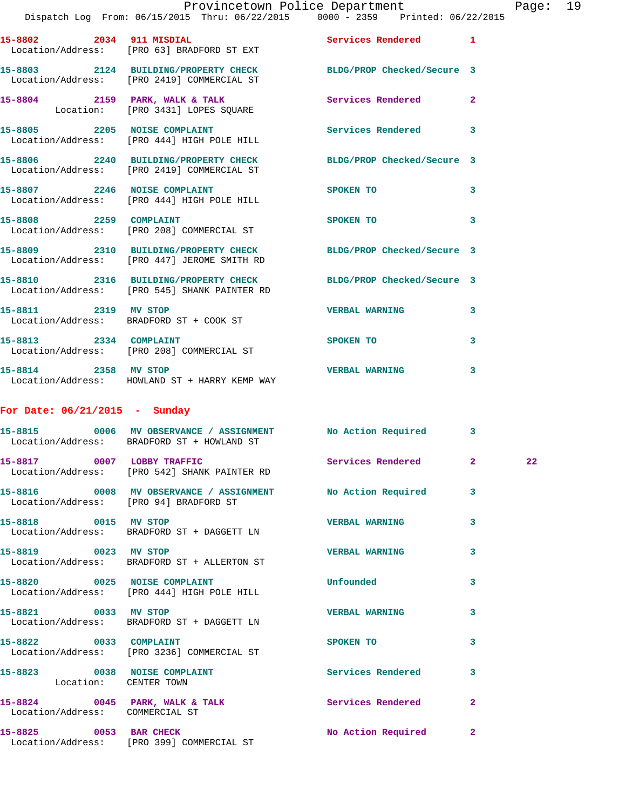## Provincetown Police Department Fage: 19

|                                 | Dispatch Log From: 06/15/2015 Thru: 06/22/2015 0000 - 2359 Printed: 06/22/2015                                  |                            |                            |    |
|---------------------------------|-----------------------------------------------------------------------------------------------------------------|----------------------------|----------------------------|----|
|                                 | 15-8802 2034 911 MISDIAL<br>Location/Address: [PRO 63] BRADFORD ST EXT                                          | Services Rendered 1        |                            |    |
|                                 | 15-8803 2124 BUILDING/PROPERTY CHECK BLDG/PROP Checked/Secure 3<br>Location/Address: [PRO 2419] COMMERCIAL ST   |                            |                            |    |
|                                 | 15-8804 2159 PARK, WALK & TALK<br>Location: [PRO 3431] LOPES SQUARE                                             | Services Rendered 2        |                            |    |
|                                 | 15-8805 2205 NOISE COMPLAINT<br>Location/Address: [PRO 444] HIGH POLE HILL                                      | Services Rendered 3        |                            |    |
|                                 | 15-8806 2240 BUILDING/PROPERTY CHECK<br>Location/Address: [PRO 2419] COMMERCIAL ST                              | BLDG/PROP Checked/Secure 3 |                            |    |
|                                 | 15-8807 2246 NOISE COMPLAINT<br>Location/Address: [PRO 444] HIGH POLE HILL                                      | <b>SPOKEN TO</b>           | 3                          |    |
| 15-8808 2259 COMPLAINT          | Location/Address: [PRO 208] COMMERCIAL ST                                                                       | SPOKEN TO                  | $\overline{\phantom{a}}$ 3 |    |
|                                 | 15-8809 2310 BUILDING/PROPERTY CHECK BLDG/PROP Checked/Secure 3<br>Location/Address: [PRO 447] JEROME SMITH RD  |                            |                            |    |
|                                 | 15-8810 2316 BUILDING/PROPERTY CHECK BLDG/PROP Checked/Secure 3<br>Location/Address: [PRO 545] SHANK PAINTER RD |                            |                            |    |
|                                 | 15-8811 2319 MV STOP<br>Location/Address: BRADFORD ST + COOK ST                                                 | <b>VERBAL WARNING</b>      | 3                          |    |
| 15-8813 2334 COMPLAINT          | Location/Address: [PRO 208] COMMERCIAL ST                                                                       | <b>SPOKEN TO</b>           | 3                          |    |
|                                 | 15-8814 2358 MV STOP<br>Location/Address: HOWLAND ST + HARRY KEMP WAY                                           | <b>VERBAL WARNING</b>      | 3                          |    |
| For Date: $06/21/2015$ - Sunday |                                                                                                                 |                            |                            |    |
|                                 | 15-8815 0006 MV OBSERVANCE / ASSIGNMENT No Action Required 3<br>Location/Address: BRADFORD ST + HOWLAND ST      |                            |                            |    |
| 15-8817 0007 LOBBY TRAFFIC      | Location/Address: [PRO 542] SHANK PAINTER RD                                                                    | Services Rendered 2        |                            | 22 |
|                                 | Location/Address: [PRO 94] BRADFORD ST                                                                          |                            |                            |    |
| 15-8818 0015 MV STOP            | Location/Address: BRADFORD ST + DAGGETT LN                                                                      | <b>VERBAL WARNING</b>      | 3                          |    |
| 15-8819 0023 MV STOP            | Location/Address: BRADFORD ST + ALLERTON ST                                                                     | <b>VERBAL WARNING</b>      | 3                          |    |
|                                 | 15-8820 0025 NOISE COMPLAINT<br>Location/Address: [PRO 444] HIGH POLE HILL                                      | Unfounded                  | 3                          |    |
|                                 | 15-8821 0033 MV STOP<br>Location/Address: BRADFORD ST + DAGGETT LN                                              | <b>VERBAL WARNING</b>      | 3                          |    |
| 15-8822 0033 COMPLAINT          | Location/Address: [PRO 3236] COMMERCIAL ST                                                                      | SPOKEN TO                  | 3                          |    |
| Location: CENTER TOWN           | 15-8823 0038 NOISE COMPLAINT Services Rendered                                                                  |                            | 3                          |    |
| Location/Address: COMMERCIAL ST | 15-8824 0045 PARK, WALK & TALK 1988 Services Rendered                                                           |                            | $\mathbf{2}$               |    |
|                                 | 15-8825 0053 BAR CHECK<br>Location/Address: [PRO 399] COMMERCIAL ST                                             | No Action Required 2       |                            |    |
|                                 |                                                                                                                 |                            |                            |    |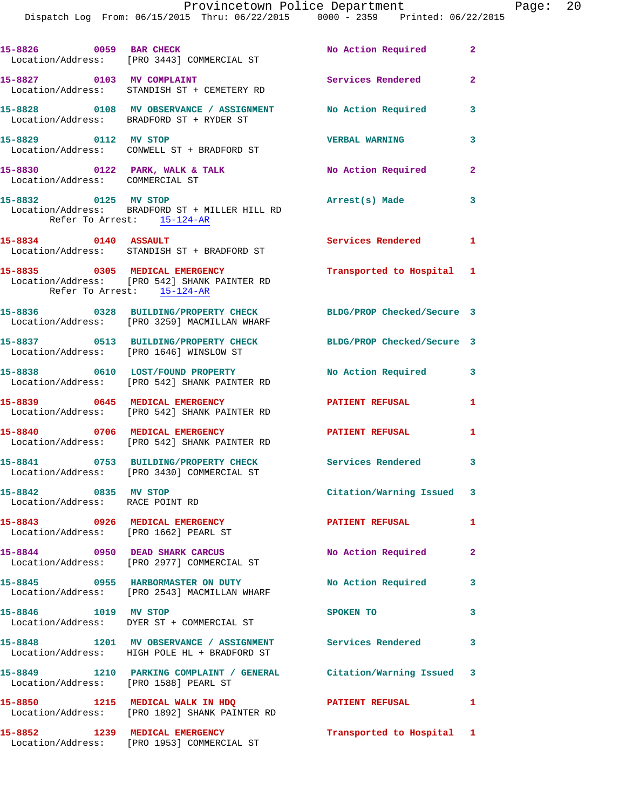| 15-8826 0059 BAR CHECK                                     | Location/Address: [PRO 3443] COMMERCIAL ST                                                                | No Action Required 2       |                         |
|------------------------------------------------------------|-----------------------------------------------------------------------------------------------------------|----------------------------|-------------------------|
|                                                            | 15-8827 0103 MV COMPLAINT<br>Location/Address: STANDISH ST + CEMETERY RD                                  | Services Rendered          | $\overline{2}$          |
|                                                            | 15-8828 0108 MV OBSERVANCE / ASSIGNMENT No Action Required<br>Location/Address: BRADFORD ST + RYDER ST    |                            | $\overline{\mathbf{3}}$ |
|                                                            | 15-8829 0112 MV STOP<br>Location/Address: CONWELL ST + BRADFORD ST                                        | <b>VERBAL WARNING</b>      | 3                       |
| Location/Address: COMMERCIAL ST                            | 15-8830 0122 PARK, WALK & TALK                                                                            | No Action Required         | $\mathbf{2}$            |
| 15-8832 0125 MV STOP<br>Refer To Arrest: 15-124-AR         | Location/Address: BRADFORD ST + MILLER HILL RD                                                            | Arrest(s) Made             | $\mathbf{3}$            |
| 15-8834 0140 ASSAULT                                       | Location/Address: STANDISH ST + BRADFORD ST                                                               | Services Rendered          | 1                       |
| Refer To Arrest: 15-124-AR                                 | 15-8835 0305 MEDICAL EMERGENCY<br>Location/Address: [PRO 542] SHANK PAINTER RD                            | Transported to Hospital 1  |                         |
|                                                            | 15-8836 0328 BUILDING/PROPERTY CHECK<br>Location/Address: [PRO 3259] MACMILLAN WHARF                      | BLDG/PROP Checked/Secure 3 |                         |
|                                                            | 15-8837 0513 BUILDING/PROPERTY CHECK<br>Location/Address: [PRO 1646] WINSLOW ST                           | BLDG/PROP Checked/Secure 3 |                         |
|                                                            | 15-8838 0610 LOST/FOUND PROPERTY<br>Location/Address: [PRO 542] SHANK PAINTER RD                          | No Action Required 3       |                         |
|                                                            | 15-8839 0645 MEDICAL EMERGENCY<br>Location/Address: [PRO 542] SHANK PAINTER RD                            | <b>PATIENT REFUSAL</b>     | 1                       |
|                                                            | 15-8840 0706 MEDICAL EMERGENCY<br>Location/Address: [PRO 542] SHANK PAINTER RD                            | PATIENT REFUSAL            | 1                       |
|                                                            | 15-8841 0753 BUILDING/PROPERTY CHECK<br>Location/Address: [PRO 3430] COMMERCIAL ST                        | <b>Services Rendered</b>   | 3                       |
| 0835 MV STOP<br>15-8842<br>Location/Address: RACE POINT RD |                                                                                                           | Citation/Warning Issued 3  |                         |
| Location/Address: [PRO 1662] PEARL ST                      | 15-8843 0926 MEDICAL EMERGENCY                                                                            | <b>PATIENT REFUSAL</b>     | $\mathbf{1}$            |
|                                                            | 15-8844 0950 DEAD SHARK CARCUS<br>Location/Address: [PRO 2977] COMMERCIAL ST                              | No Action Required         | $\mathbf{2}$            |
|                                                            | 15-8845      0955   HARBORMASTER ON DUTY<br>Location/Address:   [PRO 2543]MACMILLAN WHARF                 | No Action Required 3       |                         |
|                                                            | 15-8846 1019 MV STOP<br>Location/Address: DYER ST + COMMERCIAL ST                                         | SPOKEN TO                  | 3                       |
|                                                            | 15-8848 1201 MV OBSERVANCE / ASSIGNMENT Services Rendered<br>Location/Address: HIGH POLE HL + BRADFORD ST |                            | $\overline{\mathbf{3}}$ |
| Location/Address: [PRO 1588] PEARL ST                      | 15-8849 1210 PARKING COMPLAINT / GENERAL Citation/Warning Issued 3                                        |                            |                         |
|                                                            |                                                                                                           |                            |                         |
|                                                            | 15-8850 1215 MEDICAL WALK IN HDQ<br>Location/Address: [PRO 1892] SHANK PAINTER RD                         | PATIENT REFUSAL            | 1                       |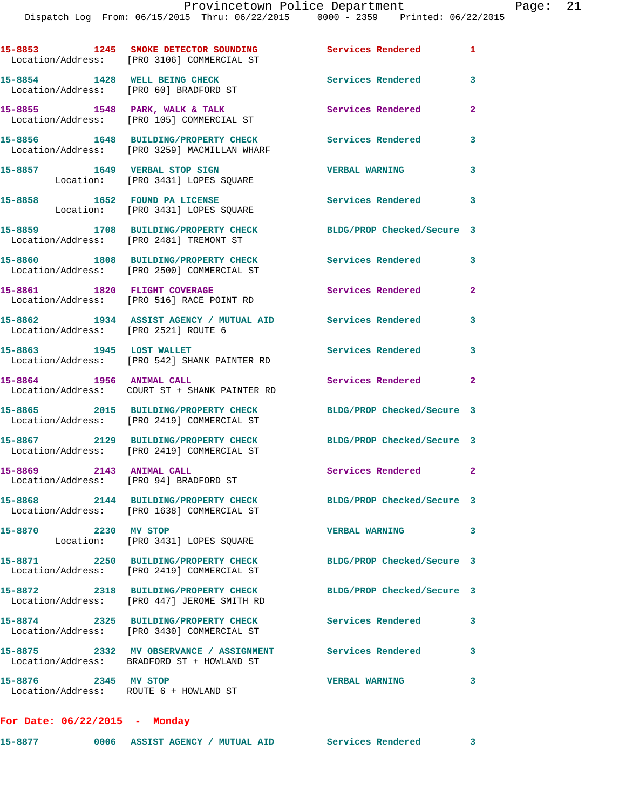Dispatch Log From: 06/15/2015 Thru: 06/22/2015 0000 - 2359 Printed: 06/22/2015 **15-8853 1245 SMOKE DETECTOR SOUNDING Services Rendered 1**  Location/Address: [PRO 3106] COMMERCIAL ST **15-8854 1428 WELL BEING CHECK Services Rendered 3**  Location/Address: [PRO 60] BRADFORD ST **15-8855 1548 PARK, WALK & TALK Services Rendered 2**  Location/Address: [PRO 105] COMMERCIAL ST **15-8856 1648 BUILDING/PROPERTY CHECK Services Rendered 3**  Location/Address: [PRO 3259] MACMILLAN WHARF **15-8857 1649 VERBAL STOP SIGN VERBAL WARNING 3**  Location: [PRO 3431] LOPES SQUARE 15-8858 1652 FOUND PA LICENSE **15-8858** Services Rendered 3 Location: [PRO 3431] LOPES SQUARE **15-8859 1708 BUILDING/PROPERTY CHECK BLDG/PROP Checked/Secure 3**  Location/Address: [PRO 2481] TREMONT ST **15-8860 1808 BUILDING/PROPERTY CHECK Services Rendered 3**  Location/Address: [PRO 2500] COMMERCIAL ST 15-8861 1820 FLIGHT COVERAGE **Services Rendered** 2 Location/Address: [PRO 516] RACE POINT RD **15-8862 1934 ASSIST AGENCY / MUTUAL AID Services Rendered 3**  Location/Address: [PRO 2521] ROUTE 6 **15-8863 1945 LOST WALLET Services Rendered 3**  Location/Address: [PRO 542] SHANK PAINTER RD **15-8864 1956 ANIMAL CALL Services Rendered 2**  Location/Address: COURT ST + SHANK PAINTER RD **15-8865 2015 BUILDING/PROPERTY CHECK BLDG/PROP Checked/Secure 3**  Location/Address: [PRO 2419] COMMERCIAL ST **15-8867 2129 BUILDING/PROPERTY CHECK BLDG/PROP Checked/Secure 3**  Location/Address: [PRO 2419] COMMERCIAL ST **15-8869 2143 ANIMAL CALL Services Rendered 2**  Location/Address: [PRO 94] BRADFORD ST **15-8868 2144 BUILDING/PROPERTY CHECK BLDG/PROP Checked/Secure 3**  Location/Address: [PRO 1638] COMMERCIAL ST **15-8870 2230 MV STOP VERBAL WARNING 3**  Location: [PRO 3431] LOPES SQUARE **15-8871 2250 BUILDING/PROPERTY CHECK BLDG/PROP Checked/Secure 3**  Location/Address: [PRO 2419] COMMERCIAL ST **15-8872 2318 BUILDING/PROPERTY CHECK BLDG/PROP Checked/Secure 3**  Location/Address: [PRO 447] JEROME SMITH RD **15-8874 2325 BUILDING/PROPERTY CHECK Services Rendered 3**  Location/Address: [PRO 3430] COMMERCIAL ST **15-8875 2332 MV OBSERVANCE / ASSIGNMENT Services Rendered 3**  Location/Address: BRADFORD ST + HOWLAND ST **15-8876 2345 MV STOP VERBAL WARNING 3**  Location/Address: ROUTE 6 + HOWLAND ST

**For Date: 06/22/2015 - Monday**

| 15-8877 |  | 0006 ASSIST AGENCY / MUTUAL AID | Services Rendered |  |
|---------|--|---------------------------------|-------------------|--|
|         |  |                                 |                   |  |